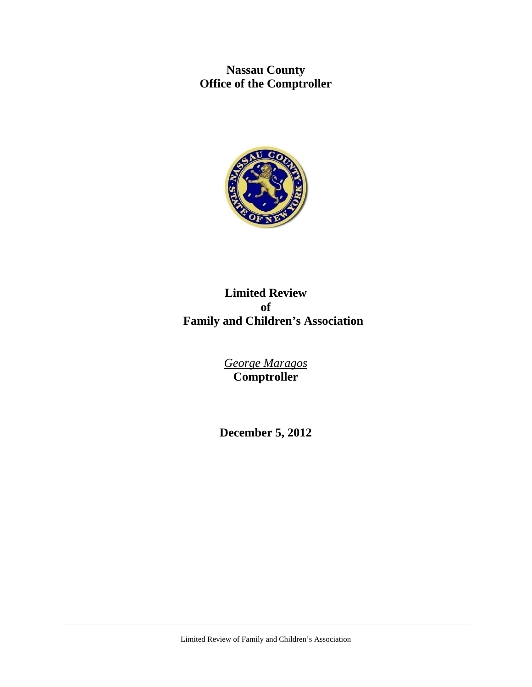**Nassau County Office of the Comptroller** 



# **Limited Review of Family and Children's Association**

*George Maragos*  **Comptroller** 

**December 5, 2012**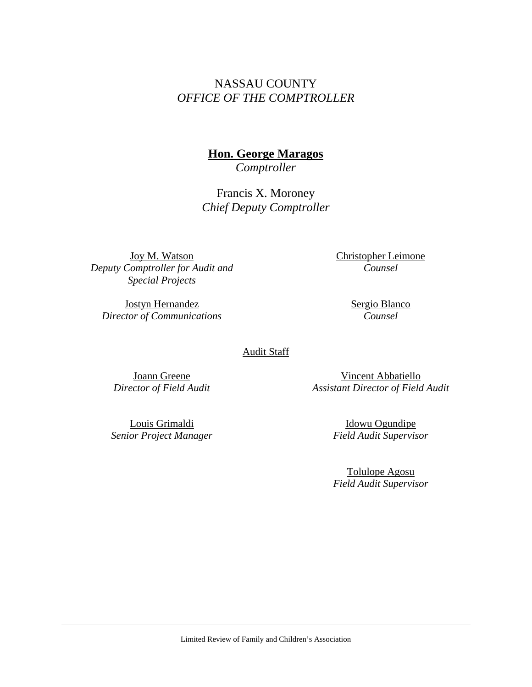# NASSAU COUNTY *OFFICE OF THE COMPTROLLER*

# **Hon. George Maragos**

*Comptroller* 

Francis X. Moroney *Chief Deputy Comptroller* 

Joy M. Watson *Deputy Comptroller for Audit and Special Projects* 

Jostyn Hernandez *Director of Communications*  Christopher Leimone *Counsel* 

> Sergio Blanco *Counsel*

Audit Staff

Joann Greene *Director of Field Audit* 

Louis Grimaldi *Senior Project Manager* 

Vincent Abbatiello *Assistant Director of Field Audit* 

> Idowu Ogundipe *Field Audit Supervisor*

> Tolulope Agosu *Field Audit Supervisor*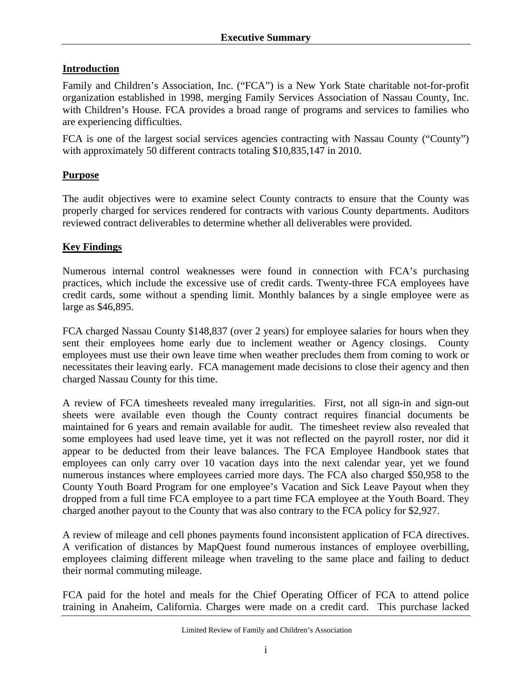# **Introduction**

Family and Children's Association, Inc. ("FCA") is a New York State charitable not-for-profit organization established in 1998, merging Family Services Association of Nassau County, Inc. with Children's House. FCA provides a broad range of programs and services to families who are experiencing difficulties.

FCA is one of the largest social services agencies contracting with Nassau County ("County") with approximately 50 different contracts totaling \$10,835,147 in 2010.

# **Purpose**

The audit objectives were to examine select County contracts to ensure that the County was properly charged for services rendered for contracts with various County departments. Auditors reviewed contract deliverables to determine whether all deliverables were provided.

#### **Key Findings**

Numerous internal control weaknesses were found in connection with FCA's purchasing practices, which include the excessive use of credit cards. Twenty-three FCA employees have credit cards, some without a spending limit. Monthly balances by a single employee were as large as \$46,895.

FCA charged Nassau County \$148,837 (over 2 years) for employee salaries for hours when they sent their employees home early due to inclement weather or Agency closings. County employees must use their own leave time when weather precludes them from coming to work or necessitates their leaving early. FCA management made decisions to close their agency and then charged Nassau County for this time.

A review of FCA timesheets revealed many irregularities. First, not all sign-in and sign-out sheets were available even though the County contract requires financial documents be maintained for 6 years and remain available for audit. The timesheet review also revealed that some employees had used leave time, yet it was not reflected on the payroll roster, nor did it appear to be deducted from their leave balances. The FCA Employee Handbook states that employees can only carry over 10 vacation days into the next calendar year, yet we found numerous instances where employees carried more days. The FCA also charged \$50,958 to the County Youth Board Program for one employee's Vacation and Sick Leave Payout when they dropped from a full time FCA employee to a part time FCA employee at the Youth Board. They charged another payout to the County that was also contrary to the FCA policy for \$2,927.

A review of mileage and cell phones payments found inconsistent application of FCA directives. A verification of distances by MapQuest found numerous instances of employee overbilling, employees claiming different mileage when traveling to the same place and failing to deduct their normal commuting mileage.

FCA paid for the hotel and meals for the Chief Operating Officer of FCA to attend police training in Anaheim, California. Charges were made on a credit card. This purchase lacked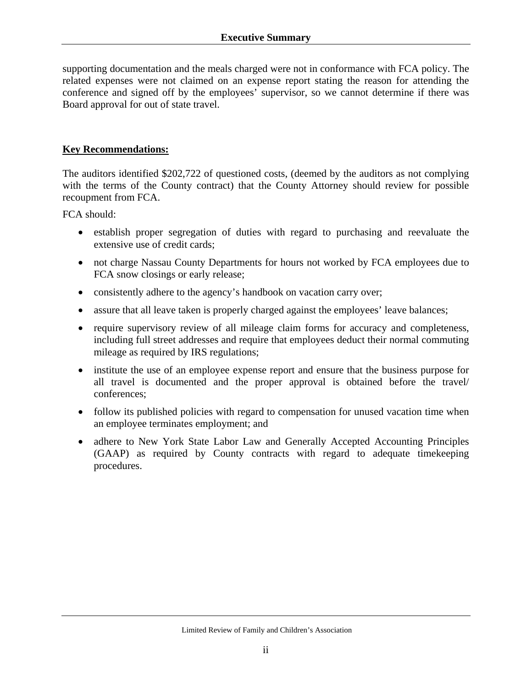supporting documentation and the meals charged were not in conformance with FCA policy. The related expenses were not claimed on an expense report stating the reason for attending the conference and signed off by the employees' supervisor, so we cannot determine if there was Board approval for out of state travel.

#### **Key Recommendations:**

The auditors identified \$202,722 of questioned costs, (deemed by the auditors as not complying with the terms of the County contract) that the County Attorney should review for possible recoupment from FCA.

FCA should:

- establish proper segregation of duties with regard to purchasing and reevaluate the extensive use of credit cards;
- not charge Nassau County Departments for hours not worked by FCA employees due to FCA snow closings or early release;
- consistently adhere to the agency's handbook on vacation carry over;
- assure that all leave taken is properly charged against the employees' leave balances;
- require supervisory review of all mileage claim forms for accuracy and completeness, including full street addresses and require that employees deduct their normal commuting mileage as required by IRS regulations;
- institute the use of an employee expense report and ensure that the business purpose for all travel is documented and the proper approval is obtained before the travel/ conferences;
- follow its published policies with regard to compensation for unused vacation time when an employee terminates employment; and
- adhere to New York State Labor Law and Generally Accepted Accounting Principles (GAAP) as required by County contracts with regard to adequate timekeeping procedures.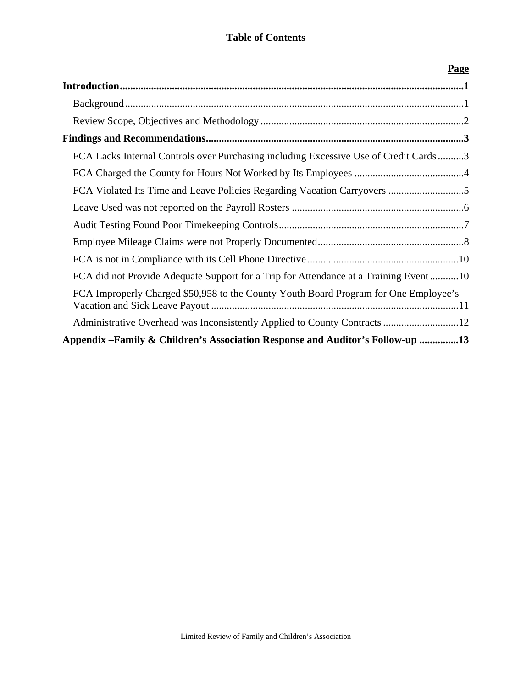| r age                                                                                 |
|---------------------------------------------------------------------------------------|
|                                                                                       |
|                                                                                       |
|                                                                                       |
|                                                                                       |
| FCA Lacks Internal Controls over Purchasing including Excessive Use of Credit Cards3  |
|                                                                                       |
|                                                                                       |
|                                                                                       |
|                                                                                       |
|                                                                                       |
|                                                                                       |
| FCA did not Provide Adequate Support for a Trip for Attendance at a Training Event 10 |
| FCA Improperly Charged \$50,958 to the County Youth Board Program for One Employee's  |
|                                                                                       |
| Appendix – Family & Children's Association Response and Auditor's Follow-up 13        |

# **Page**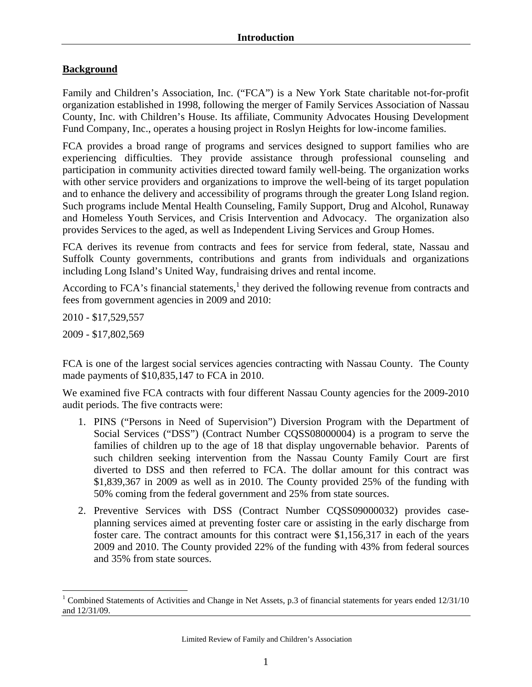#### **Background**

Family and Children's Association, Inc. ("FCA") is a New York State charitable not-for-profit organization established in 1998, following the merger of Family Services Association of Nassau County, Inc. with Children's House. Its affiliate, Community Advocates Housing Development Fund Company, Inc., operates a housing project in Roslyn Heights for low-income families.

FCA provides a broad range of programs and services designed to support families who are experiencing difficulties. They provide assistance through professional counseling and participation in community activities directed toward family well-being. The organization works with other service providers and organizations to improve the well-being of its target population and to enhance the delivery and accessibility of programs through the greater Long Island region. Such programs include Mental Health Counseling, Family Support, Drug and Alcohol, Runaway and Homeless Youth Services, and Crisis Intervention and Advocacy. The organization also provides Services to the aged, as well as Independent Living Services and Group Homes.

FCA derives its revenue from contracts and fees for service from federal, state, Nassau and Suffolk County governments, contributions and grants from individuals and organizations including Long Island's United Way, fundraising drives and rental income.

According to FCA's financial statements, $<sup>1</sup>$  they derived the following revenue from contracts and</sup> fees from government agencies in 2009 and 2010:

2010 - \$17,529,557

2009 - \$17,802,569

 $\overline{a}$ 

FCA is one of the largest social services agencies contracting with Nassau County. The County made payments of \$10,835,147 to FCA in 2010.

We examined five FCA contracts with four different Nassau County agencies for the 2009-2010 audit periods. The five contracts were:

- 1. PINS ("Persons in Need of Supervision") Diversion Program with the Department of Social Services ("DSS") (Contract Number CQSS08000004) is a program to serve the families of children up to the age of 18 that display ungovernable behavior. Parents of such children seeking intervention from the Nassau County Family Court are first diverted to DSS and then referred to FCA. The dollar amount for this contract was \$1,839,367 in 2009 as well as in 2010. The County provided 25% of the funding with 50% coming from the federal government and 25% from state sources.
- 2. Preventive Services with DSS (Contract Number CQSS09000032) provides caseplanning services aimed at preventing foster care or assisting in the early discharge from foster care. The contract amounts for this contract were \$1,156,317 in each of the years 2009 and 2010. The County provided 22% of the funding with 43% from federal sources and 35% from state sources.

<sup>&</sup>lt;sup>1</sup> Combined Statements of Activities and Change in Net Assets, p.3 of financial statements for years ended  $12/31/10$ and 12/31/09.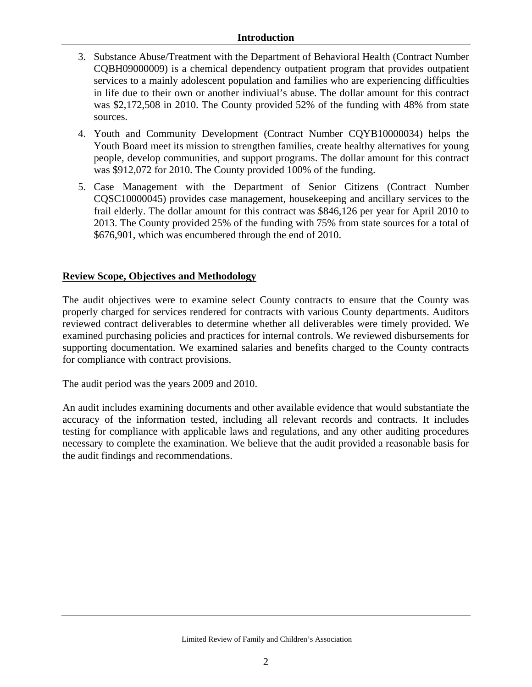#### **Introduction**

- 3. Substance Abuse/Treatment with the Department of Behavioral Health (Contract Number CQBH09000009) is a chemical dependency outpatient program that provides outpatient services to a mainly adolescent population and families who are experiencing difficulties in life due to their own or another indiviual's abuse. The dollar amount for this contract was \$2,172,508 in 2010. The County provided 52% of the funding with 48% from state sources.
- 4. Youth and Community Development (Contract Number CQYB10000034) helps the Youth Board meet its mission to strengthen families, create healthy alternatives for young people, develop communities, and support programs. The dollar amount for this contract was \$912,072 for 2010. The County provided 100% of the funding.
- 5. Case Management with the Department of Senior Citizens (Contract Number CQSC10000045) provides case management, housekeeping and ancillary services to the frail elderly. The dollar amount for this contract was \$846,126 per year for April 2010 to 2013. The County provided 25% of the funding with 75% from state sources for a total of \$676,901, which was encumbered through the end of 2010.

#### **Review Scope, Objectives and Methodology**

The audit objectives were to examine select County contracts to ensure that the County was properly charged for services rendered for contracts with various County departments. Auditors reviewed contract deliverables to determine whether all deliverables were timely provided. We examined purchasing policies and practices for internal controls. We reviewed disbursements for supporting documentation. We examined salaries and benefits charged to the County contracts for compliance with contract provisions.

The audit period was the years 2009 and 2010.

An audit includes examining documents and other available evidence that would substantiate the accuracy of the information tested, including all relevant records and contracts. It includes testing for compliance with applicable laws and regulations, and any other auditing procedures necessary to complete the examination. We believe that the audit provided a reasonable basis for the audit findings and recommendations.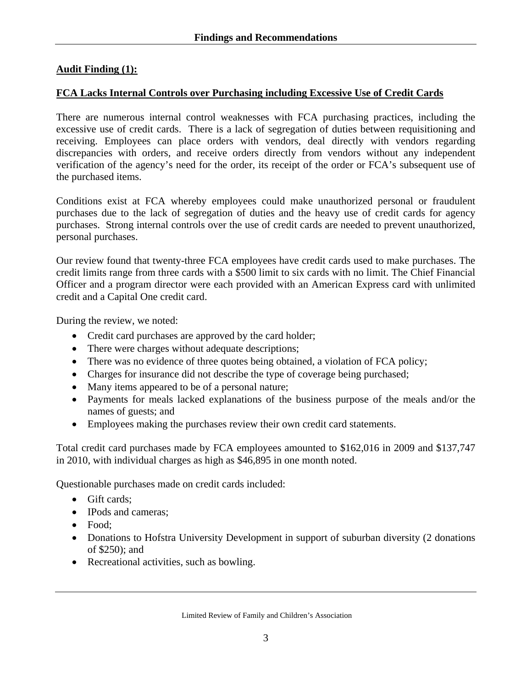#### **Audit Finding (1):**

#### **FCA Lacks Internal Controls over Purchasing including Excessive Use of Credit Cards**

There are numerous internal control weaknesses with FCA purchasing practices, including the excessive use of credit cards. There is a lack of segregation of duties between requisitioning and receiving. Employees can place orders with vendors, deal directly with vendors regarding discrepancies with orders, and receive orders directly from vendors without any independent verification of the agency's need for the order, its receipt of the order or FCA's subsequent use of the purchased items.

Conditions exist at FCA whereby employees could make unauthorized personal or fraudulent purchases due to the lack of segregation of duties and the heavy use of credit cards for agency purchases. Strong internal controls over the use of credit cards are needed to prevent unauthorized, personal purchases.

Our review found that twenty-three FCA employees have credit cards used to make purchases. The credit limits range from three cards with a \$500 limit to six cards with no limit. The Chief Financial Officer and a program director were each provided with an American Express card with unlimited credit and a Capital One credit card.

During the review, we noted:

- Credit card purchases are approved by the card holder;
- There were charges without adequate descriptions;
- There was no evidence of three quotes being obtained, a violation of FCA policy;
- Charges for insurance did not describe the type of coverage being purchased;
- Many items appeared to be of a personal nature;
- Payments for meals lacked explanations of the business purpose of the meals and/or the names of guests; and
- Employees making the purchases review their own credit card statements.

Total credit card purchases made by FCA employees amounted to \$162,016 in 2009 and \$137,747 in 2010, with individual charges as high as \$46,895 in one month noted.

Questionable purchases made on credit cards included:

- Gift cards:
- IPods and cameras:
- Food:
- Donations to Hofstra University Development in support of suburban diversity (2 donations of \$250); and
- Recreational activities, such as bowling.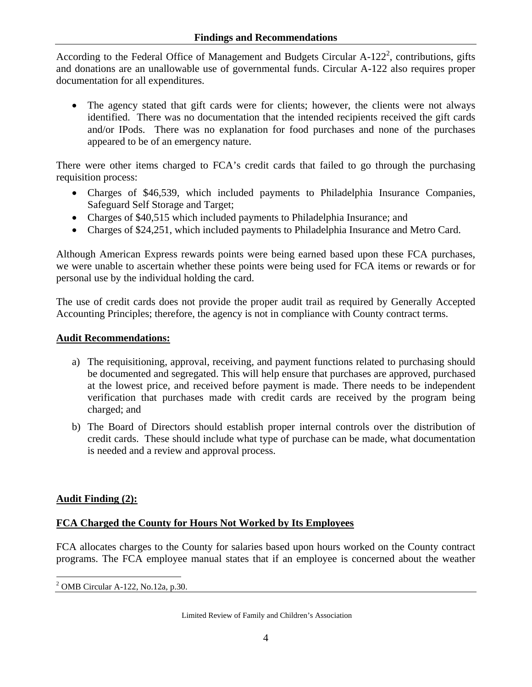According to the Federal Office of Management and Budgets Circular  $A-122^2$ , contributions, gifts and donations are an unallowable use of governmental funds. Circular A-122 also requires proper documentation for all expenditures.

• The agency stated that gift cards were for clients; however, the clients were not always identified. There was no documentation that the intended recipients received the gift cards and/or IPods. There was no explanation for food purchases and none of the purchases appeared to be of an emergency nature.

There were other items charged to FCA's credit cards that failed to go through the purchasing requisition process:

- Charges of \$46,539, which included payments to Philadelphia Insurance Companies, Safeguard Self Storage and Target;
- Charges of \$40,515 which included payments to Philadelphia Insurance; and
- Charges of \$24,251, which included payments to Philadelphia Insurance and Metro Card.

Although American Express rewards points were being earned based upon these FCA purchases, we were unable to ascertain whether these points were being used for FCA items or rewards or for personal use by the individual holding the card.

The use of credit cards does not provide the proper audit trail as required by Generally Accepted Accounting Principles; therefore, the agency is not in compliance with County contract terms.

#### **Audit Recommendations:**

- a) The requisitioning, approval, receiving, and payment functions related to purchasing should be documented and segregated. This will help ensure that purchases are approved, purchased at the lowest price, and received before payment is made. There needs to be independent verification that purchases made with credit cards are received by the program being charged; and
- b) The Board of Directors should establish proper internal controls over the distribution of credit cards. These should include what type of purchase can be made, what documentation is needed and a review and approval process.

#### **Audit Finding (2):**

#### **FCA Charged the County for Hours Not Worked by Its Employees**

FCA allocates charges to the County for salaries based upon hours worked on the County contract programs. The FCA employee manual states that if an employee is concerned about the weather

 $\overline{a}$ 2 OMB Circular A-122, No.12a, p.30.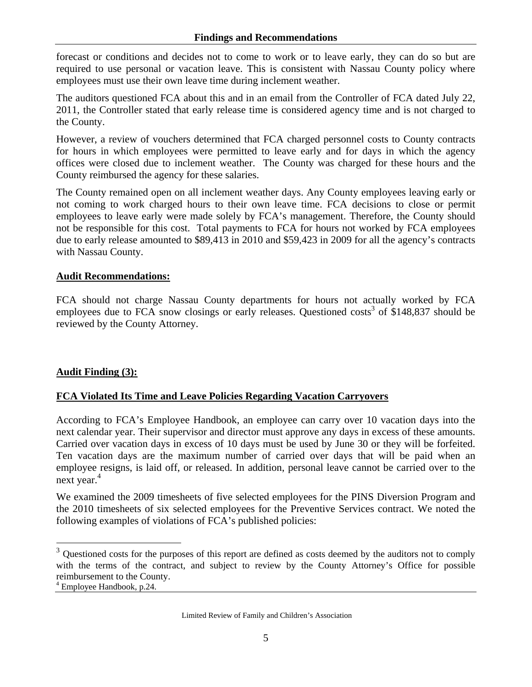forecast or conditions and decides not to come to work or to leave early, they can do so but are required to use personal or vacation leave. This is consistent with Nassau County policy where employees must use their own leave time during inclement weather.

The auditors questioned FCA about this and in an email from the Controller of FCA dated July 22, 2011, the Controller stated that early release time is considered agency time and is not charged to the County.

However, a review of vouchers determined that FCA charged personnel costs to County contracts for hours in which employees were permitted to leave early and for days in which the agency offices were closed due to inclement weather. The County was charged for these hours and the County reimbursed the agency for these salaries.

The County remained open on all inclement weather days. Any County employees leaving early or not coming to work charged hours to their own leave time. FCA decisions to close or permit employees to leave early were made solely by FCA's management. Therefore, the County should not be responsible for this cost. Total payments to FCA for hours not worked by FCA employees due to early release amounted to \$89,413 in 2010 and \$59,423 in 2009 for all the agency's contracts with Nassau County.

#### **Audit Recommendations:**

FCA should not charge Nassau County departments for hours not actually worked by FCA employees due to FCA snow closings or early releases. Questioned costs<sup>3</sup> of \$148,837 should be reviewed by the County Attorney.

#### **Audit Finding (3):**

#### **FCA Violated Its Time and Leave Policies Regarding Vacation Carryovers**

According to FCA's Employee Handbook, an employee can carry over 10 vacation days into the next calendar year. Their supervisor and director must approve any days in excess of these amounts. Carried over vacation days in excess of 10 days must be used by June 30 or they will be forfeited. Ten vacation days are the maximum number of carried over days that will be paid when an employee resigns, is laid off, or released. In addition, personal leave cannot be carried over to the next year. $4$ 

We examined the 2009 timesheets of five selected employees for the PINS Diversion Program and the 2010 timesheets of six selected employees for the Preventive Services contract. We noted the following examples of violations of FCA's published policies:

 $\overline{a}$ 

 $3$  Questioned costs for the purposes of this report are defined as costs deemed by the auditors not to comply with the terms of the contract, and subject to review by the County Attorney's Office for possible reimbursement to the County.

<sup>4</sup> Employee Handbook, p.24.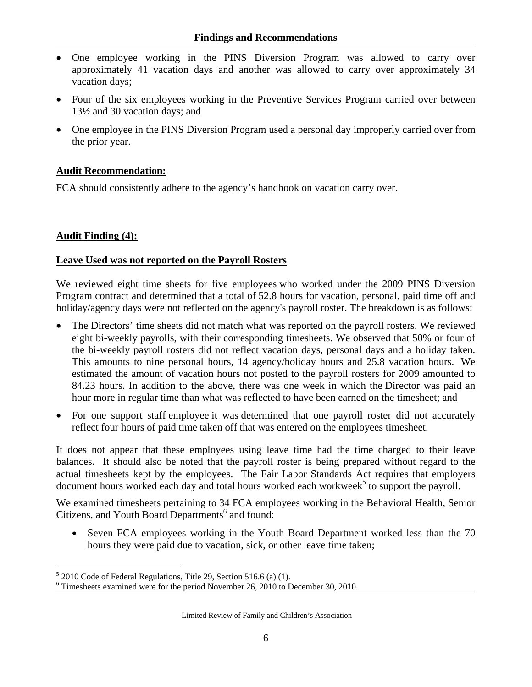- One employee working in the PINS Diversion Program was allowed to carry over approximately 41 vacation days and another was allowed to carry over approximately 34 vacation days;
- Four of the six employees working in the Preventive Services Program carried over between 13½ and 30 vacation days; and
- One employee in the PINS Diversion Program used a personal day improperly carried over from the prior year.

# **Audit Recommendation:**

FCA should consistently adhere to the agency's handbook on vacation carry over.

# **Audit Finding (4):**

#### **Leave Used was not reported on the Payroll Rosters**

We reviewed eight time sheets for five employees who worked under the 2009 PINS Diversion Program contract and determined that a total of 52.8 hours for vacation, personal, paid time off and holiday/agency days were not reflected on the agency's payroll roster. The breakdown is as follows:

- The Directors' time sheets did not match what was reported on the payroll rosters. We reviewed eight bi-weekly payrolls, with their corresponding timesheets. We observed that 50% or four of the bi-weekly payroll rosters did not reflect vacation days, personal days and a holiday taken. This amounts to nine personal hours, 14 agency/holiday hours and 25.8 vacation hours. We estimated the amount of vacation hours not posted to the payroll rosters for 2009 amounted to 84.23 hours. In addition to the above, there was one week in which the Director was paid an hour more in regular time than what was reflected to have been earned on the timesheet; and
- For one support staff employee it was determined that one payroll roster did not accurately reflect four hours of paid time taken off that was entered on the employees timesheet.

It does not appear that these employees using leave time had the time charged to their leave balances. It should also be noted that the payroll roster is being prepared without regard to the actual timesheets kept by the employees. The Fair Labor Standards Act requires that employers document hours worked each day and total hours worked each workweek<sup>5</sup> to support the payroll.

We examined timesheets pertaining to 34 FCA employees working in the Behavioral Health, Senior Citizens, and Youth Board Departments<sup>6</sup> and found:

• Seven FCA employees working in the Youth Board Department worked less than the 70 hours they were paid due to vacation, sick, or other leave time taken;

 $\overline{a}$  $<sup>5</sup>$  2010 Code of Federal Regulations, Title 29, Section 516.6 (a) (1).</sup>

<sup>&</sup>lt;sup>6</sup> Timesheets examined were for the period November 26, 2010 to December 30, 2010.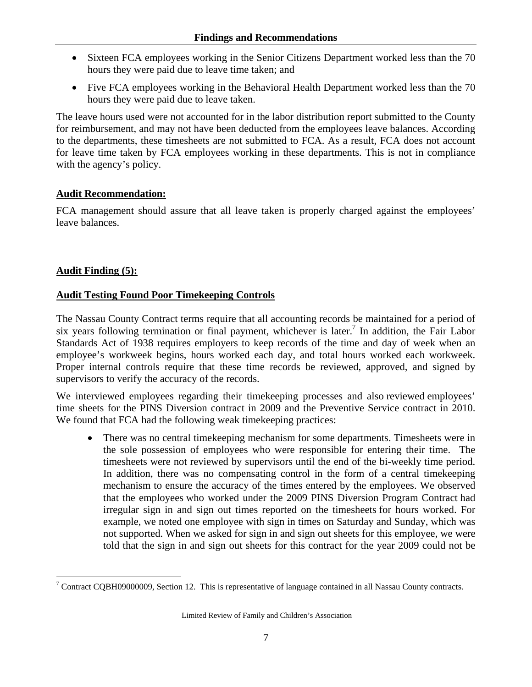- Sixteen FCA employees working in the Senior Citizens Department worked less than the 70 hours they were paid due to leave time taken; and
- Five FCA employees working in the Behavioral Health Department worked less than the 70 hours they were paid due to leave taken.

The leave hours used were not accounted for in the labor distribution report submitted to the County for reimbursement, and may not have been deducted from the employees leave balances. According to the departments, these timesheets are not submitted to FCA. As a result, FCA does not account for leave time taken by FCA employees working in these departments. This is not in compliance with the agency's policy.

# **Audit Recommendation:**

FCA management should assure that all leave taken is properly charged against the employees' leave balances.

# **Audit Finding (5):**

# **Audit Testing Found Poor Timekeeping Controls**

The Nassau County Contract terms require that all accounting records be maintained for a period of six years following termination or final payment, whichever is later.<sup>7</sup> In addition, the Fair Labor Standards Act of 1938 requires employers to keep records of the time and day of week when an employee's workweek begins, hours worked each day, and total hours worked each workweek. Proper internal controls require that these time records be reviewed, approved, and signed by supervisors to verify the accuracy of the records.

We interviewed employees regarding their timekeeping processes and also reviewed employees' time sheets for the PINS Diversion contract in 2009 and the Preventive Service contract in 2010. We found that FCA had the following weak timekeeping practices:

• There was no central time keeping mechanism for some departments. Timesheets were in the sole possession of employees who were responsible for entering their time. The timesheets were not reviewed by supervisors until the end of the bi-weekly time period. In addition, there was no compensating control in the form of a central timekeeping mechanism to ensure the accuracy of the times entered by the employees. We observed that the employees who worked under the 2009 PINS Diversion Program Contract had irregular sign in and sign out times reported on the timesheets for hours worked. For example, we noted one employee with sign in times on Saturday and Sunday, which was not supported. When we asked for sign in and sign out sheets for this employee, we were told that the sign in and sign out sheets for this contract for the year 2009 could not be

 $\overline{a}$ <sup>7</sup> Contract CQBH09000009, Section 12. This is representative of language contained in all Nassau County contracts.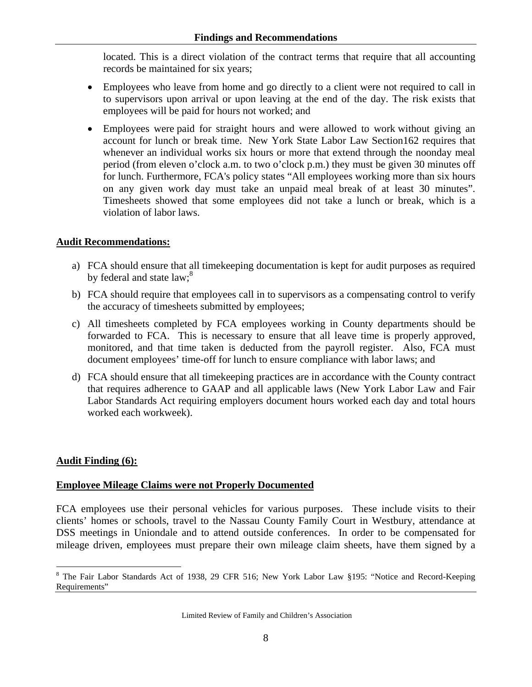located. This is a direct violation of the contract terms that require that all accounting records be maintained for six years;

- Employees who leave from home and go directly to a client were not required to call in to supervisors upon arrival or upon leaving at the end of the day. The risk exists that employees will be paid for hours not worked; and
- Employees were paid for straight hours and were allowed to work without giving an account for lunch or break time. New York State Labor Law Section162 requires that whenever an individual works six hours or more that extend through the noonday meal period (from eleven o'clock a.m. to two o'clock p.m.) they must be given 30 minutes off for lunch. Furthermore, FCA's policy states "All employees working more than six hours on any given work day must take an unpaid meal break of at least 30 minutes". Timesheets showed that some employees did not take a lunch or break, which is a violation of labor laws.

#### **Audit Recommendations:**

- a) FCA should ensure that all timekeeping documentation is kept for audit purposes as required by federal and state law;<sup>8</sup>
- b) FCA should require that employees call in to supervisors as a compensating control to verify the accuracy of timesheets submitted by employees;
- c) All timesheets completed by FCA employees working in County departments should be forwarded to FCA. This is necessary to ensure that all leave time is properly approved, monitored, and that time taken is deducted from the payroll register. Also, FCA must document employees' time-off for lunch to ensure compliance with labor laws; and
- d) FCA should ensure that all timekeeping practices are in accordance with the County contract that requires adherence to GAAP and all applicable laws (New York Labor Law and Fair Labor Standards Act requiring employers document hours worked each day and total hours worked each workweek).

#### **Audit Finding (6):**

 $\overline{a}$ 

#### **Employee Mileage Claims were not Properly Documented**

FCA employees use their personal vehicles for various purposes. These include visits to their clients' homes or schools, travel to the Nassau County Family Court in Westbury, attendance at DSS meetings in Uniondale and to attend outside conferences. In order to be compensated for mileage driven, employees must prepare their own mileage claim sheets, have them signed by a

<sup>&</sup>lt;sup>8</sup> The Fair Labor Standards Act of 1938, 29 CFR 516; New York Labor Law §195: "Notice and Record-Keeping Requirements"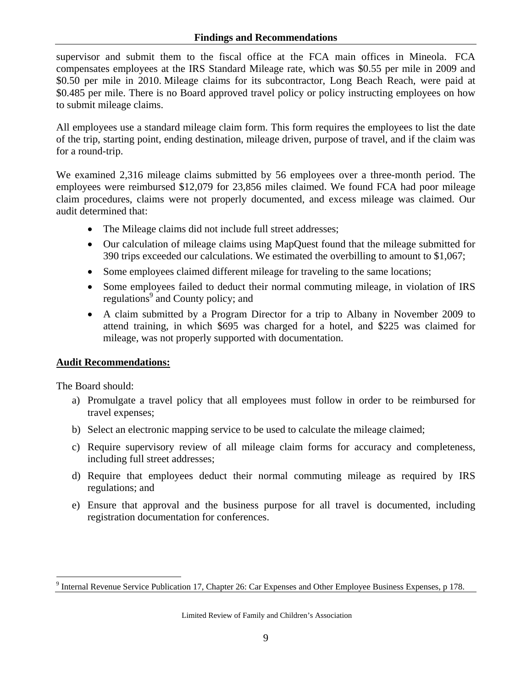#### **Findings and Recommendations**

supervisor and submit them to the fiscal office at the FCA main offices in Mineola. FCA compensates employees at the IRS Standard Mileage rate, which was \$0.55 per mile in 2009 and \$0.50 per mile in 2010. Mileage claims for its subcontractor, Long Beach Reach, were paid at \$0.485 per mile. There is no Board approved travel policy or policy instructing employees on how to submit mileage claims.

All employees use a standard mileage claim form. This form requires the employees to list the date of the trip, starting point, ending destination, mileage driven, purpose of travel, and if the claim was for a round-trip.

We examined 2,316 mileage claims submitted by 56 employees over a three-month period. The employees were reimbursed \$12,079 for 23,856 miles claimed. We found FCA had poor mileage claim procedures, claims were not properly documented, and excess mileage was claimed. Our audit determined that:

- The Mileage claims did not include full street addresses;
- Our calculation of mileage claims using MapQuest found that the mileage submitted for 390 trips exceeded our calculations. We estimated the overbilling to amount to \$1,067;
- Some employees claimed different mileage for traveling to the same locations;
- Some employees failed to deduct their normal commuting mileage, in violation of IRS regulations<sup>9</sup> and County policy; and
- A claim submitted by a Program Director for a trip to Albany in November 2009 to attend training, in which \$695 was charged for a hotel, and \$225 was claimed for mileage, was not properly supported with documentation.

#### **Audit Recommendations:**

The Board should:

- a) Promulgate a travel policy that all employees must follow in order to be reimbursed for travel expenses;
- b) Select an electronic mapping service to be used to calculate the mileage claimed;
- c) Require supervisory review of all mileage claim forms for accuracy and completeness, including full street addresses;
- d) Require that employees deduct their normal commuting mileage as required by IRS regulations; and
- e) Ensure that approval and the business purpose for all travel is documented, including registration documentation for conferences.

 $\overline{a}$ <sup>9</sup> Internal Revenue Service Publication 17, Chapter 26: Car Expenses and Other Employee Business Expenses, p 178.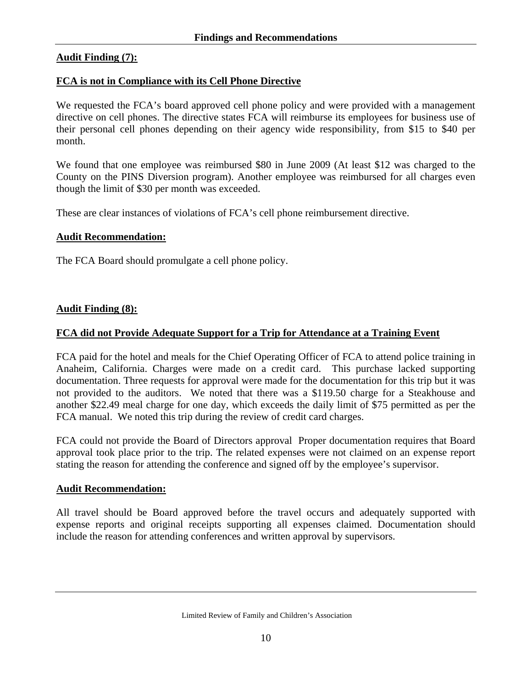#### **Audit Finding (7):**

#### **FCA is not in Compliance with its Cell Phone Directive**

We requested the FCA's board approved cell phone policy and were provided with a management directive on cell phones. The directive states FCA will reimburse its employees for business use of their personal cell phones depending on their agency wide responsibility, from \$15 to \$40 per month.

We found that one employee was reimbursed \$80 in June 2009 (At least \$12 was charged to the County on the PINS Diversion program). Another employee was reimbursed for all charges even though the limit of \$30 per month was exceeded.

These are clear instances of violations of FCA's cell phone reimbursement directive.

#### **Audit Recommendation:**

The FCA Board should promulgate a cell phone policy.

#### **Audit Finding (8):**

#### **FCA did not Provide Adequate Support for a Trip for Attendance at a Training Event**

FCA paid for the hotel and meals for the Chief Operating Officer of FCA to attend police training in Anaheim, California. Charges were made on a credit card. This purchase lacked supporting documentation. Three requests for approval were made for the documentation for this trip but it was not provided to the auditors. We noted that there was a \$119.50 charge for a Steakhouse and another \$22.49 meal charge for one day, which exceeds the daily limit of \$75 permitted as per the FCA manual. We noted this trip during the review of credit card charges.

FCA could not provide the Board of Directors approval Proper documentation requires that Board approval took place prior to the trip. The related expenses were not claimed on an expense report stating the reason for attending the conference and signed off by the employee's supervisor.

#### **Audit Recommendation:**

All travel should be Board approved before the travel occurs and adequately supported with expense reports and original receipts supporting all expenses claimed. Documentation should include the reason for attending conferences and written approval by supervisors.

Limited Review of Family and Children's Association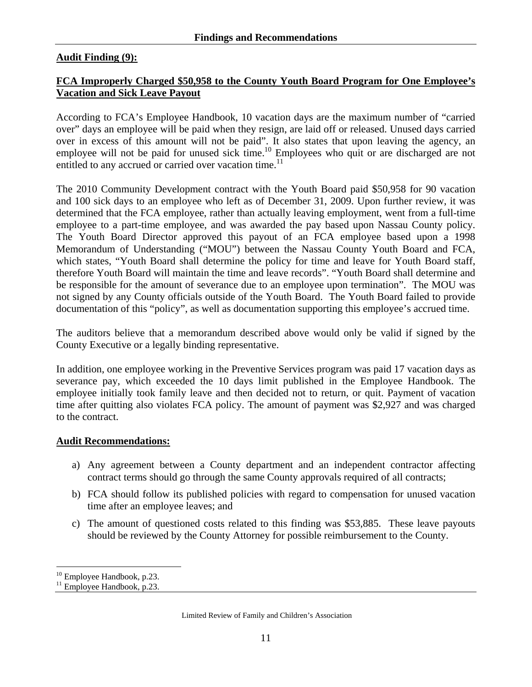#### **Audit Finding (9):**

#### **FCA Improperly Charged \$50,958 to the County Youth Board Program for One Employee's Vacation and Sick Leave Payout**

According to FCA's Employee Handbook, 10 vacation days are the maximum number of "carried over" days an employee will be paid when they resign, are laid off or released. Unused days carried over in excess of this amount will not be paid". It also states that upon leaving the agency, an employee will not be paid for unused sick time.<sup>10</sup> Employees who quit or are discharged are not entitled to any accrued or carried over vacation time.<sup>11</sup>

The 2010 Community Development contract with the Youth Board paid \$50,958 for 90 vacation and 100 sick days to an employee who left as of December 31, 2009. Upon further review, it was determined that the FCA employee, rather than actually leaving employment, went from a full-time employee to a part-time employee, and was awarded the pay based upon Nassau County policy. The Youth Board Director approved this payout of an FCA employee based upon a 1998 Memorandum of Understanding ("MOU") between the Nassau County Youth Board and FCA, which states, "Youth Board shall determine the policy for time and leave for Youth Board staff, therefore Youth Board will maintain the time and leave records". "Youth Board shall determine and be responsible for the amount of severance due to an employee upon termination". The MOU was not signed by any County officials outside of the Youth Board. The Youth Board failed to provide documentation of this "policy", as well as documentation supporting this employee's accrued time.

The auditors believe that a memorandum described above would only be valid if signed by the County Executive or a legally binding representative.

In addition, one employee working in the Preventive Services program was paid 17 vacation days as severance pay, which exceeded the 10 days limit published in the Employee Handbook. The employee initially took family leave and then decided not to return, or quit. Payment of vacation time after quitting also violates FCA policy. The amount of payment was \$2,927 and was charged to the contract.

#### **Audit Recommendations:**

- a) Any agreement between a County department and an independent contractor affecting contract terms should go through the same County approvals required of all contracts;
- b) FCA should follow its published policies with regard to compensation for unused vacation time after an employee leaves; and
- c) The amount of questioned costs related to this finding was \$53,885. These leave payouts should be reviewed by the County Attorney for possible reimbursement to the County.

 $\overline{a}$ <sup>10</sup> Employee Handbook, p.23.

<sup>&</sup>lt;sup>11</sup> Employee Handbook, p.23.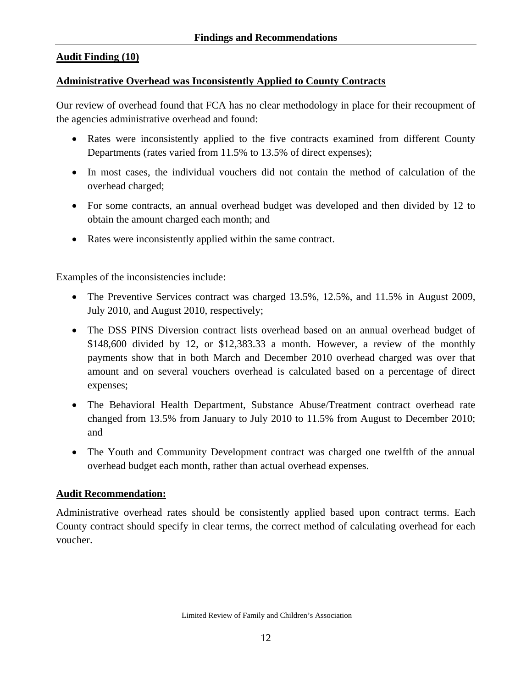#### **Audit Finding (10)**

#### **Administrative Overhead was Inconsistently Applied to County Contracts**

Our review of overhead found that FCA has no clear methodology in place for their recoupment of the agencies administrative overhead and found:

- Rates were inconsistently applied to the five contracts examined from different County Departments (rates varied from 11.5% to 13.5% of direct expenses);
- In most cases, the individual vouchers did not contain the method of calculation of the overhead charged;
- For some contracts, an annual overhead budget was developed and then divided by 12 to obtain the amount charged each month; and
- Rates were inconsistently applied within the same contract.

Examples of the inconsistencies include:

- The Preventive Services contract was charged 13.5%, 12.5%, and 11.5% in August 2009, July 2010, and August 2010, respectively;
- The DSS PINS Diversion contract lists overhead based on an annual overhead budget of \$148,600 divided by 12, or \$12,383.33 a month. However, a review of the monthly payments show that in both March and December 2010 overhead charged was over that amount and on several vouchers overhead is calculated based on a percentage of direct expenses;
- The Behavioral Health Department, Substance Abuse/Treatment contract overhead rate changed from 13.5% from January to July 2010 to 11.5% from August to December 2010; and
- The Youth and Community Development contract was charged one twelfth of the annual overhead budget each month, rather than actual overhead expenses.

#### **Audit Recommendation:**

Administrative overhead rates should be consistently applied based upon contract terms. Each County contract should specify in clear terms, the correct method of calculating overhead for each voucher.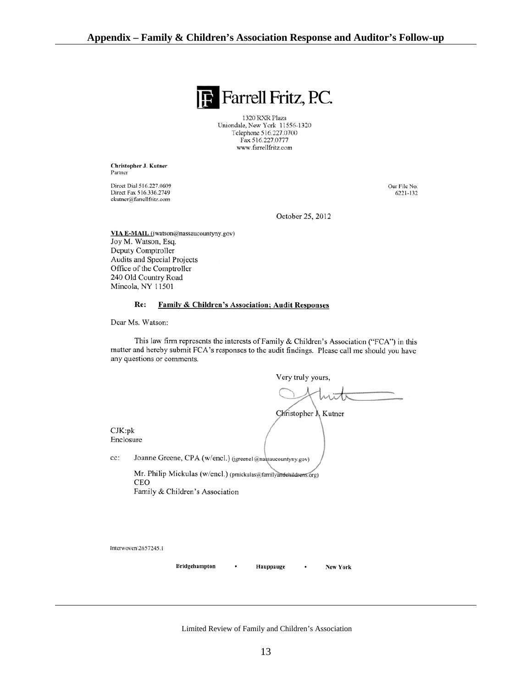

1320 RXR Plaza Uniondale, New York 11556-1320 Telephone 516.227.0700 Fax 516.227.0777 www.farrellfritz.com

Christopher J. Kutner Partner

Direct Dial 516.227.0609 Direct Fax 516.336.2749 ckutner@farrellfritz.com

Our File No. 6221-132

October 25, 2012

VIA E-MAIL (jwatson@nassaucountyny.gov) Joy M. Watson, Esq. Deputy Comptroller Audits and Special Projects Office of the Comptroller 240 Old Country Road Mineola, NY 11501

#### Re: **Family & Children's Association; Audit Responses**

Dear Ms. Watson:

This law firm represents the interests of Family & Children's Association ("FCA") in this matter and hereby submit FCA's responses to the audit findings. Please call me should you have any questions or comments.

Very truly yours,

New York

Christopher  $\lambda$  Kutner

 $CJK:pk$ Enclosure

cc: Joanne Greene, CPA (w/encl.) (jgreene1@nassaucountyny.gov)

> Mr. Philip Mickulas (w/encl.) (pmickulas@familyandehildrens.org) CEO Family & Children's Association

Interwoven\2657245.1

Bridgehampton

Hauppauge

Limited Review of Family and Children's Association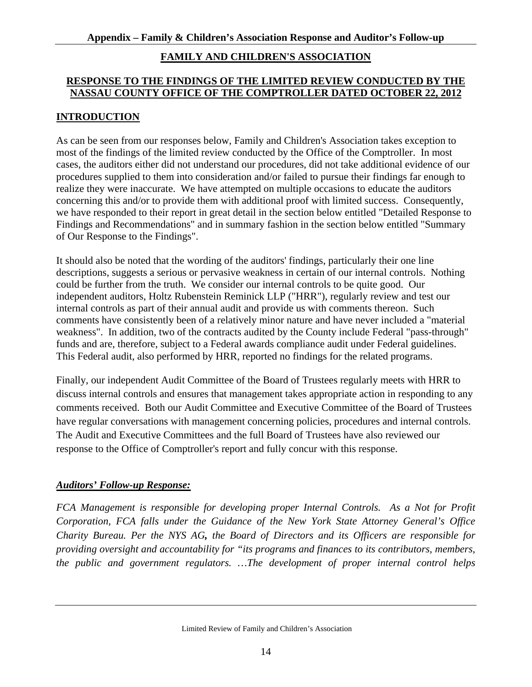#### **FAMILY AND CHILDREN'S ASSOCIATION**

#### **RESPONSE TO THE FINDINGS OF THE LIMITED REVIEW CONDUCTED BY THE NASSAU COUNTY OFFICE OF THE COMPTROLLER DATED OCTOBER 22, 2012**

# **INTRODUCTION**

As can be seen from our responses below, Family and Children's Association takes exception to most of the findings of the limited review conducted by the Office of the Comptroller. In most cases, the auditors either did not understand our procedures, did not take additional evidence of our procedures supplied to them into consideration and/or failed to pursue their findings far enough to realize they were inaccurate. We have attempted on multiple occasions to educate the auditors concerning this and/or to provide them with additional proof with limited success. Consequently, we have responded to their report in great detail in the section below entitled "Detailed Response to Findings and Recommendations" and in summary fashion in the section below entitled "Summary of Our Response to the Findings".

It should also be noted that the wording of the auditors' findings, particularly their one line descriptions, suggests a serious or pervasive weakness in certain of our internal controls. Nothing could be further from the truth. We consider our internal controls to be quite good. Our independent auditors, Holtz Rubenstein Reminick LLP ("HRR"), regularly review and test our internal controls as part of their annual audit and provide us with comments thereon. Such comments have consistently been of a relatively minor nature and have never included a "material weakness". In addition, two of the contracts audited by the County include Federal "pass-through" funds and are, therefore, subject to a Federal awards compliance audit under Federal guidelines. This Federal audit, also performed by HRR, reported no findings for the related programs.

Finally, our independent Audit Committee of the Board of Trustees regularly meets with HRR to discuss internal controls and ensures that management takes appropriate action in responding to any comments received. Both our Audit Committee and Executive Committee of the Board of Trustees have regular conversations with management concerning policies, procedures and internal controls. The Audit and Executive Committees and the full Board of Trustees have also reviewed our response to the Office of Comptroller's report and fully concur with this response.

#### *Auditors' Follow-up Response:*

*FCA Management is responsible for developing proper Internal Controls. As a Not for Profit Corporation, FCA falls under the Guidance of the New York State Attorney General's Office Charity Bureau. Per the NYS AG, the Board of Directors and its Officers are responsible for providing oversight and accountability for "its programs and finances to its contributors, members, the public and government regulators. …The development of proper internal control helps*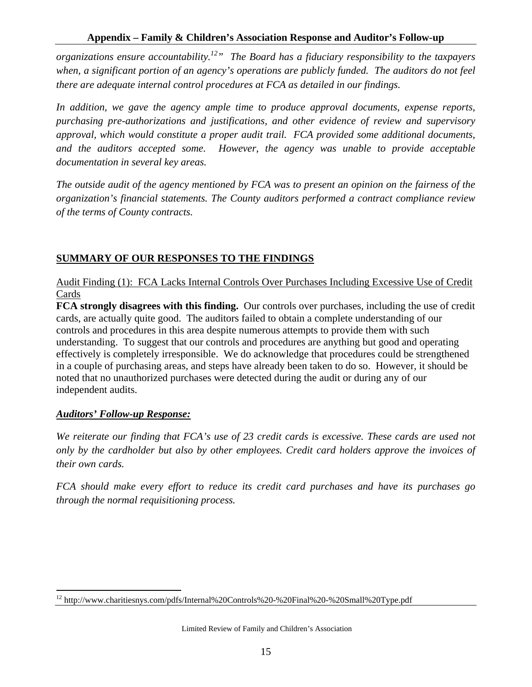*organizations ensure accountability.12" The Board has a fiduciary responsibility to the taxpayers when, a significant portion of an agency's operations are publicly funded. The auditors do not feel there are adequate internal control procedures at FCA as detailed in our findings.* 

In addition, we gave the agency ample time to produce approval documents, expense reports, *purchasing pre-authorizations and justifications, and other evidence of review and supervisory approval, which would constitute a proper audit trail. FCA provided some additional documents, and the auditors accepted some. However, the agency was unable to provide acceptable documentation in several key areas.* 

*The outside audit of the agency mentioned by FCA was to present an opinion on the fairness of the organization's financial statements. The County auditors performed a contract compliance review of the terms of County contracts.* 

# **SUMMARY OF OUR RESPONSES TO THE FINDINGS**

Audit Finding (1): FCA Lacks Internal Controls Over Purchases Including Excessive Use of Credit Cards

**FCA strongly disagrees with this finding.** Our controls over purchases, including the use of credit cards, are actually quite good. The auditors failed to obtain a complete understanding of our controls and procedures in this area despite numerous attempts to provide them with such understanding. To suggest that our controls and procedures are anything but good and operating effectively is completely irresponsible. We do acknowledge that procedures could be strengthened in a couple of purchasing areas, and steps have already been taken to do so. However, it should be noted that no unauthorized purchases were detected during the audit or during any of our independent audits.

# *Auditors' Follow-up Response:*

*We reiterate our finding that FCA's use of 23 credit cards is excessive. These cards are used not only by the cardholder but also by other employees. Credit card holders approve the invoices of their own cards.* 

*FCA should make every effort to reduce its credit card purchases and have its purchases go through the normal requisitioning process.* 

 $\overline{a}$ <sup>12</sup> http://www.charitiesnys.com/pdfs/Internal%20Controls%20-%20Final%20-%20Small%20Type.pdf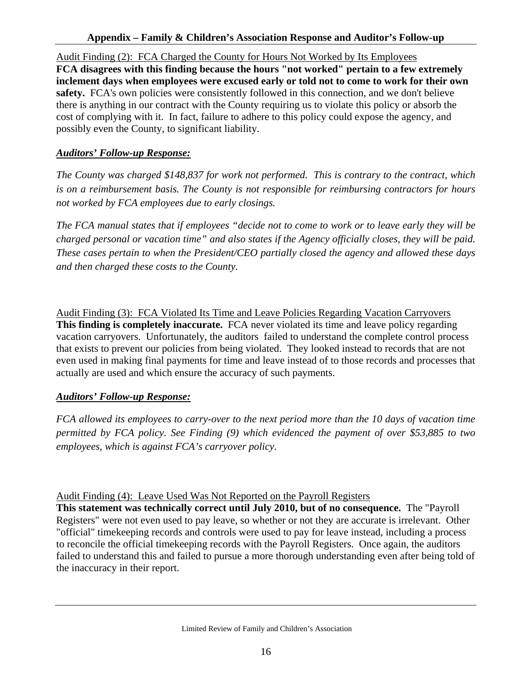#### **Appendix – Family & Children's Association Response and Auditor's Follow-up**

Audit Finding (2): FCA Charged the County for Hours Not Worked by Its Employees **FCA disagrees with this finding because the hours "not worked" pertain to a few extremely inclement days when employees were excused early or told not to come to work for their own**  safety. FCA's own policies were consistently followed in this connection, and we don't believe there is anything in our contract with the County requiring us to violate this policy or absorb the cost of complying with it. In fact, failure to adhere to this policy could expose the agency, and possibly even the County, to significant liability.

# *Auditors' Follow-up Response:*

*The County was charged \$148,837 for work not performed. This is contrary to the contract, which is on a reimbursement basis. The County is not responsible for reimbursing contractors for hours not worked by FCA employees due to early closings.* 

*The FCA manual states that if employees "decide not to come to work or to leave early they will be charged personal or vacation time" and also states if the Agency officially closes, they will be paid. These cases pertain to when the President/CEO partially closed the agency and allowed these days and then charged these costs to the County.* 

Audit Finding (3): FCA Violated Its Time and Leave Policies Regarding Vacation Carryovers **This finding is completely inaccurate.** FCA never violated its time and leave policy regarding vacation carryovers. Unfortunately, the auditors failed to understand the complete control process that exists to prevent our policies from being violated. They looked instead to records that are not even used in making final payments for time and leave instead of to those records and processes that actually are used and which ensure the accuracy of such payments.

# *Auditors' Follow-up Response:*

*FCA allowed its employees to carry-over to the next period more than the 10 days of vacation time permitted by FCA policy. See Finding (9) which evidenced the payment of over \$53,885 to two employees, which is against FCA's carryover policy.* 

#### Audit Finding (4): Leave Used Was Not Reported on the Payroll Registers

**This statement was technically correct until July 2010, but of no consequence.** The "Payroll Registers" were not even used to pay leave, so whether or not they are accurate is irrelevant. Other "official" timekeeping records and controls were used to pay for leave instead, including a process to reconcile the official timekeeping records with the Payroll Registers. Once again, the auditors failed to understand this and failed to pursue a more thorough understanding even after being told of the inaccuracy in their report.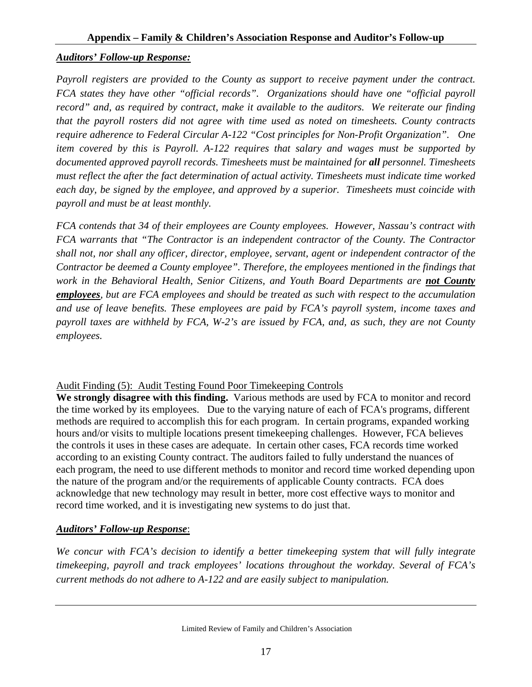# *Auditors' Follow-up Response:*

*Payroll registers are provided to the County as support to receive payment under the contract. FCA states they have other "official records". Organizations should have one "official payroll record" and, as required by contract, make it available to the auditors. We reiterate our finding that the payroll rosters did not agree with time used as noted on timesheets. County contracts require adherence to Federal Circular A-122 "Cost principles for Non-Profit Organization". One item covered by this is Payroll. A-122 requires that salary and wages must be supported by documented approved payroll records. Timesheets must be maintained for all personnel. Timesheets must reflect the after the fact determination of actual activity. Timesheets must indicate time worked each day, be signed by the employee, and approved by a superior. Timesheets must coincide with payroll and must be at least monthly.* 

*FCA contends that 34 of their employees are County employees. However, Nassau's contract with FCA warrants that "The Contractor is an independent contractor of the County. The Contractor shall not, nor shall any officer, director, employee, servant, agent or independent contractor of the Contractor be deemed a County employee". Therefore, the employees mentioned in the findings that work in the Behavioral Health, Senior Citizens, and Youth Board Departments are not County employees, but are FCA employees and should be treated as such with respect to the accumulation and use of leave benefits. These employees are paid by FCA's payroll system, income taxes and payroll taxes are withheld by FCA, W-2's are issued by FCA, and, as such, they are not County employees.*

#### Audit Finding (5): Audit Testing Found Poor Timekeeping Controls

**We strongly disagree with this finding.** Various methods are used by FCA to monitor and record the time worked by its employees. Due to the varying nature of each of FCA's programs, different methods are required to accomplish this for each program. In certain programs, expanded working hours and/or visits to multiple locations present timekeeping challenges. However, FCA believes the controls it uses in these cases are adequate. In certain other cases, FCA records time worked according to an existing County contract. The auditors failed to fully understand the nuances of each program, the need to use different methods to monitor and record time worked depending upon the nature of the program and/or the requirements of applicable County contracts. FCA does acknowledge that new technology may result in better, more cost effective ways to monitor and record time worked, and it is investigating new systems to do just that.

#### *Auditors' Follow-up Response*:

*We concur with FCA's decision to identify a better timekeeping system that will fully integrate timekeeping, payroll and track employees' locations throughout the workday. Several of FCA's current methods do not adhere to A-122 and are easily subject to manipulation.*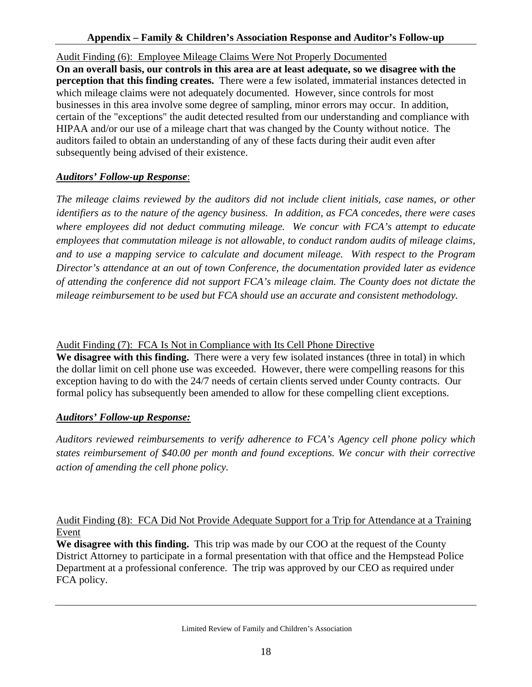#### **Appendix – Family & Children's Association Response and Auditor's Follow-up**

Audit Finding (6): Employee Mileage Claims Were Not Properly Documented **On an overall basis, our controls in this area are at least adequate, so we disagree with the perception that this finding creates.** There were a few isolated, immaterial instances detected in which mileage claims were not adequately documented. However, since controls for most businesses in this area involve some degree of sampling, minor errors may occur. In addition, certain of the "exceptions" the audit detected resulted from our understanding and compliance with HIPAA and/or our use of a mileage chart that was changed by the County without notice. The auditors failed to obtain an understanding of any of these facts during their audit even after subsequently being advised of their existence.

#### *Auditors' Follow-up Response*:

*The mileage claims reviewed by the auditors did not include client initials, case names, or other identifiers as to the nature of the agency business. In addition, as FCA concedes, there were cases where employees did not deduct commuting mileage. We concur with FCA's attempt to educate employees that commutation mileage is not allowable, to conduct random audits of mileage claims, and to use a mapping service to calculate and document mileage. With respect to the Program Director's attendance at an out of town Conference, the documentation provided later as evidence of attending the conference did not support FCA's mileage claim. The County does not dictate the mileage reimbursement to be used but FCA should use an accurate and consistent methodology.* 

#### Audit Finding (7): FCA Is Not in Compliance with Its Cell Phone Directive

**We disagree with this finding.** There were a very few isolated instances (three in total) in which the dollar limit on cell phone use was exceeded. However, there were compelling reasons for this exception having to do with the 24/7 needs of certain clients served under County contracts. Our formal policy has subsequently been amended to allow for these compelling client exceptions.

#### *Auditors' Follow-up Response:*

*Auditors reviewed reimbursements to verify adherence to FCA's Agency cell phone policy which states reimbursement of \$40.00 per month and found exceptions. We concur with their corrective action of amending the cell phone policy.* 

# Audit Finding (8): FCA Did Not Provide Adequate Support for a Trip for Attendance at a Training Event

**We disagree with this finding.** This trip was made by our COO at the request of the County District Attorney to participate in a formal presentation with that office and the Hempstead Police Department at a professional conference. The trip was approved by our CEO as required under FCA policy.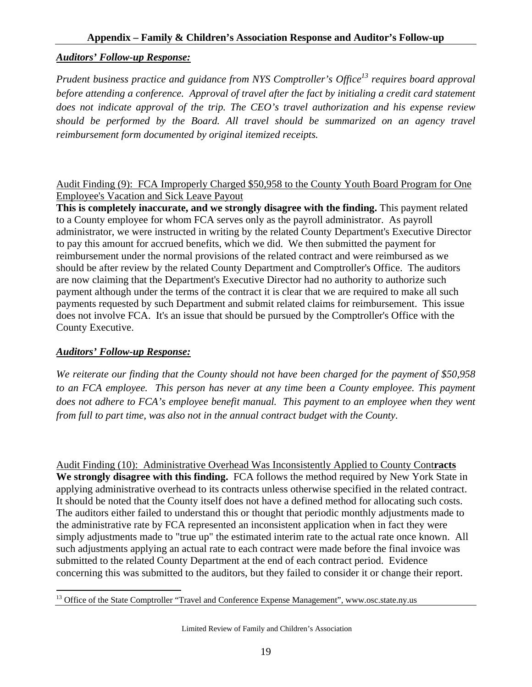#### *Auditors' Follow-up Response:*

*Prudent business practice and guidance from NYS Comptroller's Office*<sup>13</sup> requires board approval *before attending a conference. Approval of travel after the fact by initialing a credit card statement does not indicate approval of the trip. The CEO's travel authorization and his expense review should be performed by the Board. All travel should be summarized on an agency travel reimbursement form documented by original itemized receipts.* 

#### Audit Finding (9): FCA Improperly Charged \$50,958 to the County Youth Board Program for One Employee's Vacation and Sick Leave Payout

**This is completely inaccurate, and we strongly disagree with the finding.** This payment related to a County employee for whom FCA serves only as the payroll administrator. As payroll administrator, we were instructed in writing by the related County Department's Executive Director to pay this amount for accrued benefits, which we did. We then submitted the payment for reimbursement under the normal provisions of the related contract and were reimbursed as we should be after review by the related County Department and Comptroller's Office. The auditors are now claiming that the Department's Executive Director had no authority to authorize such payment although under the terms of the contract it is clear that we are required to make all such payments requested by such Department and submit related claims for reimbursement. This issue does not involve FCA. It's an issue that should be pursued by the Comptroller's Office with the County Executive.

#### *Auditors' Follow-up Response:*

*We reiterate our finding that the County should not have been charged for the payment of \$50,958*  to an FCA employee. This person has never at any time been a County employee. This payment does not adhere to FCA's employee benefit manual. This payment to an employee when they went *from full to part time, was also not in the annual contract budget with the County.* 

Audit Finding (10): Administrative Overhead Was Inconsistently Applied to County Cont**racts We strongly disagree with this finding.** FCA follows the method required by New York State in applying administrative overhead to its contracts unless otherwise specified in the related contract. It should be noted that the County itself does not have a defined method for allocating such costs. The auditors either failed to understand this or thought that periodic monthly adjustments made to the administrative rate by FCA represented an inconsistent application when in fact they were simply adjustments made to "true up" the estimated interim rate to the actual rate once known. All such adjustments applying an actual rate to each contract were made before the final invoice was submitted to the related County Department at the end of each contract period. Evidence concerning this was submitted to the auditors, but they failed to consider it or change their report.

 $\overline{a}$ <sup>13</sup> Office of the State Comptroller "Travel and Conference Expense Management", www.osc.state.ny.us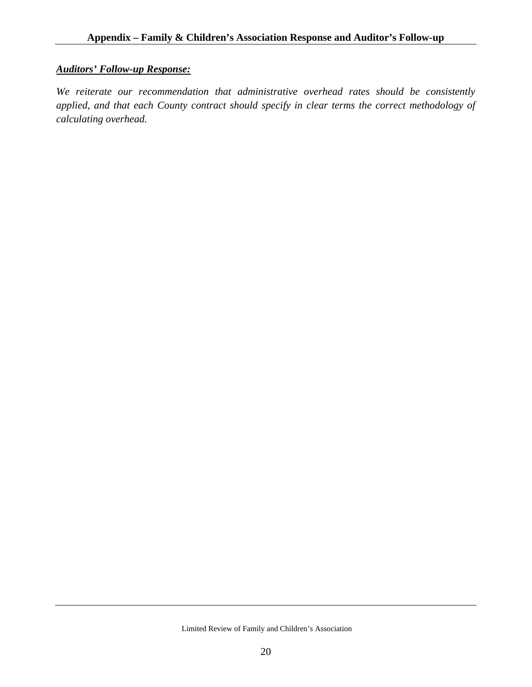# *Auditors' Follow-up Response:*

*We reiterate our recommendation that administrative overhead rates should be consistently applied, and that each County contract should specify in clear terms the correct methodology of calculating overhead.*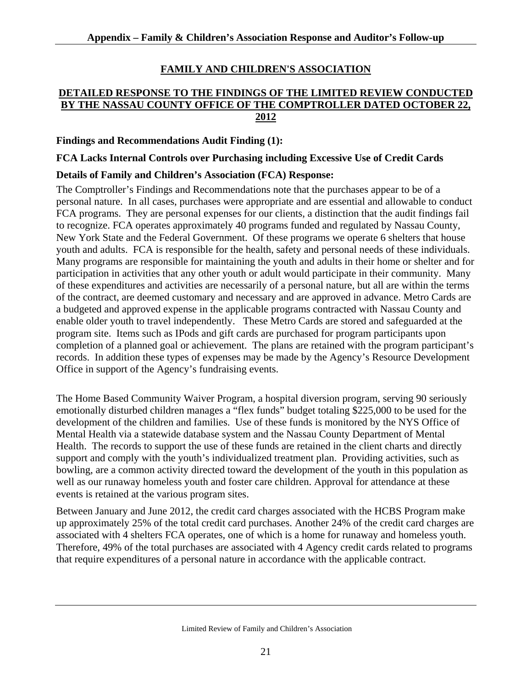# **FAMILY AND CHILDREN'S ASSOCIATION**

### **DETAILED RESPONSE TO THE FINDINGS OF THE LIMITED REVIEW CONDUCTED BY THE NASSAU COUNTY OFFICE OF THE COMPTROLLER DATED OCTOBER 22, 2012**

#### **Findings and Recommendations Audit Finding (1):**

**FCA Lacks Internal Controls over Purchasing including Excessive Use of Credit Cards** 

#### **Details of Family and Children's Association (FCA) Response:**

The Comptroller's Findings and Recommendations note that the purchases appear to be of a personal nature. In all cases, purchases were appropriate and are essential and allowable to conduct FCA programs. They are personal expenses for our clients, a distinction that the audit findings fail to recognize. FCA operates approximately 40 programs funded and regulated by Nassau County, New York State and the Federal Government. Of these programs we operate 6 shelters that house youth and adults. FCA is responsible for the health, safety and personal needs of these individuals. Many programs are responsible for maintaining the youth and adults in their home or shelter and for participation in activities that any other youth or adult would participate in their community. Many of these expenditures and activities are necessarily of a personal nature, but all are within the terms of the contract, are deemed customary and necessary and are approved in advance. Metro Cards are a budgeted and approved expense in the applicable programs contracted with Nassau County and enable older youth to travel independently. These Metro Cards are stored and safeguarded at the program site. Items such as IPods and gift cards are purchased for program participants upon completion of a planned goal or achievement. The plans are retained with the program participant's records. In addition these types of expenses may be made by the Agency's Resource Development Office in support of the Agency's fundraising events.

The Home Based Community Waiver Program, a hospital diversion program, serving 90 seriously emotionally disturbed children manages a "flex funds" budget totaling \$225,000 to be used for the development of the children and families. Use of these funds is monitored by the NYS Office of Mental Health via a statewide database system and the Nassau County Department of Mental Health. The records to support the use of these funds are retained in the client charts and directly support and comply with the youth's individualized treatment plan. Providing activities, such as bowling, are a common activity directed toward the development of the youth in this population as well as our runaway homeless youth and foster care children. Approval for attendance at these events is retained at the various program sites.

Between January and June 2012, the credit card charges associated with the HCBS Program make up approximately 25% of the total credit card purchases. Another 24% of the credit card charges are associated with 4 shelters FCA operates, one of which is a home for runaway and homeless youth. Therefore, 49% of the total purchases are associated with 4 Agency credit cards related to programs that require expenditures of a personal nature in accordance with the applicable contract.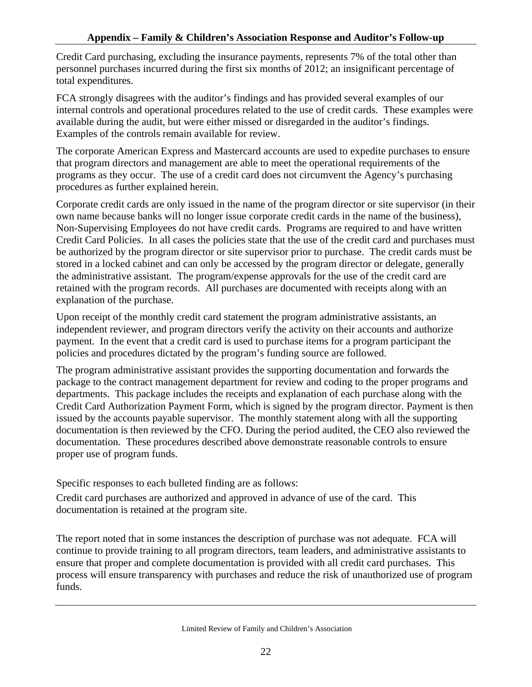Credit Card purchasing, excluding the insurance payments, represents 7% of the total other than personnel purchases incurred during the first six months of 2012; an insignificant percentage of total expenditures.

FCA strongly disagrees with the auditor's findings and has provided several examples of our internal controls and operational procedures related to the use of credit cards. These examples were available during the audit, but were either missed or disregarded in the auditor's findings. Examples of the controls remain available for review.

The corporate American Express and Mastercard accounts are used to expedite purchases to ensure that program directors and management are able to meet the operational requirements of the programs as they occur. The use of a credit card does not circumvent the Agency's purchasing procedures as further explained herein.

Corporate credit cards are only issued in the name of the program director or site supervisor (in their own name because banks will no longer issue corporate credit cards in the name of the business), Non-Supervising Employees do not have credit cards. Programs are required to and have written Credit Card Policies. In all cases the policies state that the use of the credit card and purchases must be authorized by the program director or site supervisor prior to purchase. The credit cards must be stored in a locked cabinet and can only be accessed by the program director or delegate, generally the administrative assistant. The program/expense approvals for the use of the credit card are retained with the program records. All purchases are documented with receipts along with an explanation of the purchase.

Upon receipt of the monthly credit card statement the program administrative assistants, an independent reviewer, and program directors verify the activity on their accounts and authorize payment. In the event that a credit card is used to purchase items for a program participant the policies and procedures dictated by the program's funding source are followed.

The program administrative assistant provides the supporting documentation and forwards the package to the contract management department for review and coding to the proper programs and departments. This package includes the receipts and explanation of each purchase along with the Credit Card Authorization Payment Form, which is signed by the program director. Payment is then issued by the accounts payable supervisor. The monthly statement along with all the supporting documentation is then reviewed by the CFO. During the period audited, the CEO also reviewed the documentation. These procedures described above demonstrate reasonable controls to ensure proper use of program funds.

Specific responses to each bulleted finding are as follows:

Credit card purchases are authorized and approved in advance of use of the card. This documentation is retained at the program site.

The report noted that in some instances the description of purchase was not adequate. FCA will continue to provide training to all program directors, team leaders, and administrative assistants to ensure that proper and complete documentation is provided with all credit card purchases. This process will ensure transparency with purchases and reduce the risk of unauthorized use of program funds.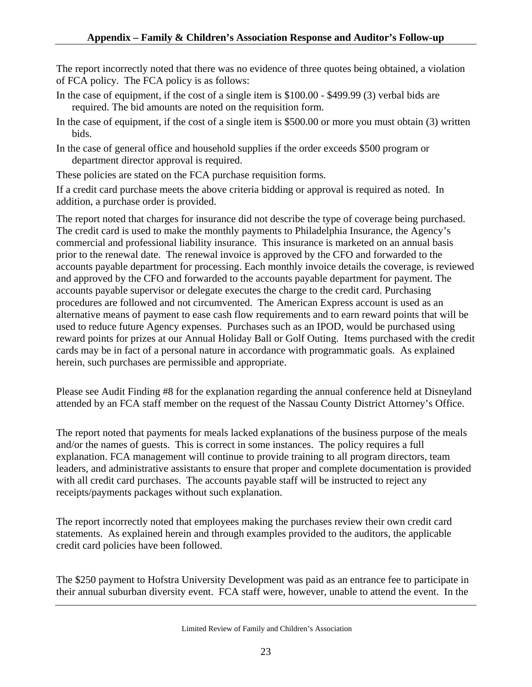The report incorrectly noted that there was no evidence of three quotes being obtained, a violation of FCA policy. The FCA policy is as follows:

- In the case of equipment, if the cost of a single item is \$100.00 \$499.99 (3) verbal bids are required. The bid amounts are noted on the requisition form.
- In the case of equipment, if the cost of a single item is \$500.00 or more you must obtain (3) written bids.
- In the case of general office and household supplies if the order exceeds \$500 program or department director approval is required.

These policies are stated on the FCA purchase requisition forms.

If a credit card purchase meets the above criteria bidding or approval is required as noted. In addition, a purchase order is provided.

The report noted that charges for insurance did not describe the type of coverage being purchased. The credit card is used to make the monthly payments to Philadelphia Insurance, the Agency's commercial and professional liability insurance. This insurance is marketed on an annual basis prior to the renewal date. The renewal invoice is approved by the CFO and forwarded to the accounts payable department for processing. Each monthly invoice details the coverage, is reviewed and approved by the CFO and forwarded to the accounts payable department for payment. The accounts payable supervisor or delegate executes the charge to the credit card. Purchasing procedures are followed and not circumvented. The American Express account is used as an alternative means of payment to ease cash flow requirements and to earn reward points that will be used to reduce future Agency expenses. Purchases such as an IPOD, would be purchased using reward points for prizes at our Annual Holiday Ball or Golf Outing. Items purchased with the credit cards may be in fact of a personal nature in accordance with programmatic goals. As explained herein, such purchases are permissible and appropriate.

Please see Audit Finding #8 for the explanation regarding the annual conference held at Disneyland attended by an FCA staff member on the request of the Nassau County District Attorney's Office.

The report noted that payments for meals lacked explanations of the business purpose of the meals and/or the names of guests. This is correct in some instances. The policy requires a full explanation. FCA management will continue to provide training to all program directors, team leaders, and administrative assistants to ensure that proper and complete documentation is provided with all credit card purchases. The accounts payable staff will be instructed to reject any receipts/payments packages without such explanation.

The report incorrectly noted that employees making the purchases review their own credit card statements. As explained herein and through examples provided to the auditors, the applicable credit card policies have been followed.

The \$250 payment to Hofstra University Development was paid as an entrance fee to participate in their annual suburban diversity event. FCA staff were, however, unable to attend the event. In the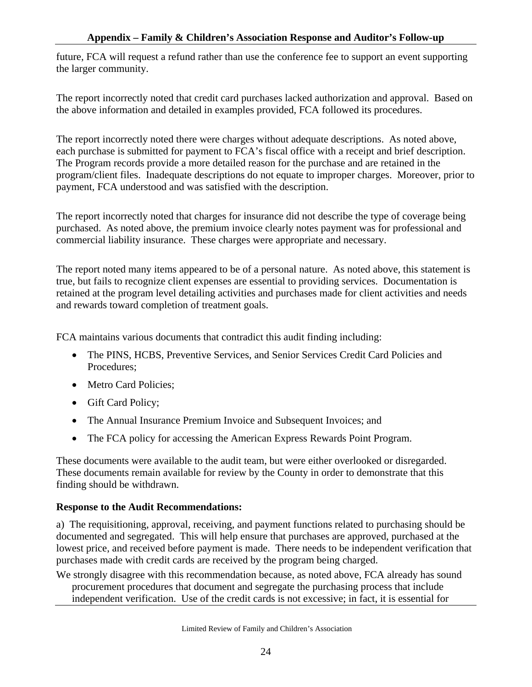future, FCA will request a refund rather than use the conference fee to support an event supporting the larger community.

The report incorrectly noted that credit card purchases lacked authorization and approval. Based on the above information and detailed in examples provided, FCA followed its procedures.

The report incorrectly noted there were charges without adequate descriptions. As noted above, each purchase is submitted for payment to FCA's fiscal office with a receipt and brief description. The Program records provide a more detailed reason for the purchase and are retained in the program/client files. Inadequate descriptions do not equate to improper charges. Moreover, prior to payment, FCA understood and was satisfied with the description.

The report incorrectly noted that charges for insurance did not describe the type of coverage being purchased. As noted above, the premium invoice clearly notes payment was for professional and commercial liability insurance. These charges were appropriate and necessary.

The report noted many items appeared to be of a personal nature. As noted above, this statement is true, but fails to recognize client expenses are essential to providing services. Documentation is retained at the program level detailing activities and purchases made for client activities and needs and rewards toward completion of treatment goals.

FCA maintains various documents that contradict this audit finding including:

- The PINS, HCBS, Preventive Services, and Senior Services Credit Card Policies and Procedures;
- Metro Card Policies;
- Gift Card Policy;
- The Annual Insurance Premium Invoice and Subsequent Invoices; and
- The FCA policy for accessing the American Express Rewards Point Program.

These documents were available to the audit team, but were either overlooked or disregarded. These documents remain available for review by the County in order to demonstrate that this finding should be withdrawn.

#### **Response to the Audit Recommendations:**

a) The requisitioning, approval, receiving, and payment functions related to purchasing should be documented and segregated. This will help ensure that purchases are approved, purchased at the lowest price, and received before payment is made. There needs to be independent verification that purchases made with credit cards are received by the program being charged.

We strongly disagree with this recommendation because, as noted above, FCA already has sound procurement procedures that document and segregate the purchasing process that include independent verification. Use of the credit cards is not excessive; in fact, it is essential for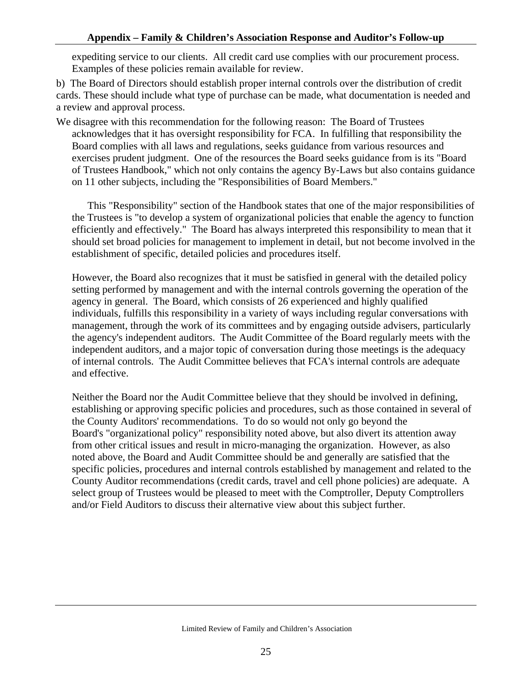expediting service to our clients. All credit card use complies with our procurement process. Examples of these policies remain available for review.

b) The Board of Directors should establish proper internal controls over the distribution of credit cards. These should include what type of purchase can be made, what documentation is needed and a review and approval process.

We disagree with this recommendation for the following reason: The Board of Trustees acknowledges that it has oversight responsibility for FCA. In fulfilling that responsibility the Board complies with all laws and regulations, seeks guidance from various resources and exercises prudent judgment. One of the resources the Board seeks guidance from is its "Board of Trustees Handbook," which not only contains the agency By-Laws but also contains guidance on 11 other subjects, including the "Responsibilities of Board Members."

This "Responsibility" section of the Handbook states that one of the major responsibilities of the Trustees is "to develop a system of organizational policies that enable the agency to function efficiently and effectively." The Board has always interpreted this responsibility to mean that it should set broad policies for management to implement in detail, but not become involved in the establishment of specific, detailed policies and procedures itself.

However, the Board also recognizes that it must be satisfied in general with the detailed policy setting performed by management and with the internal controls governing the operation of the agency in general. The Board, which consists of 26 experienced and highly qualified individuals, fulfills this responsibility in a variety of ways including regular conversations with management, through the work of its committees and by engaging outside advisers, particularly the agency's independent auditors. The Audit Committee of the Board regularly meets with the independent auditors, and a major topic of conversation during those meetings is the adequacy of internal controls. The Audit Committee believes that FCA's internal controls are adequate and effective.

Neither the Board nor the Audit Committee believe that they should be involved in defining, establishing or approving specific policies and procedures, such as those contained in several of the County Auditors' recommendations. To do so would not only go beyond the Board's "organizational policy" responsibility noted above, but also divert its attention away from other critical issues and result in micro-managing the organization. However, as also noted above, the Board and Audit Committee should be and generally are satisfied that the specific policies, procedures and internal controls established by management and related to the County Auditor recommendations (credit cards, travel and cell phone policies) are adequate. A select group of Trustees would be pleased to meet with the Comptroller, Deputy Comptrollers and/or Field Auditors to discuss their alternative view about this subject further.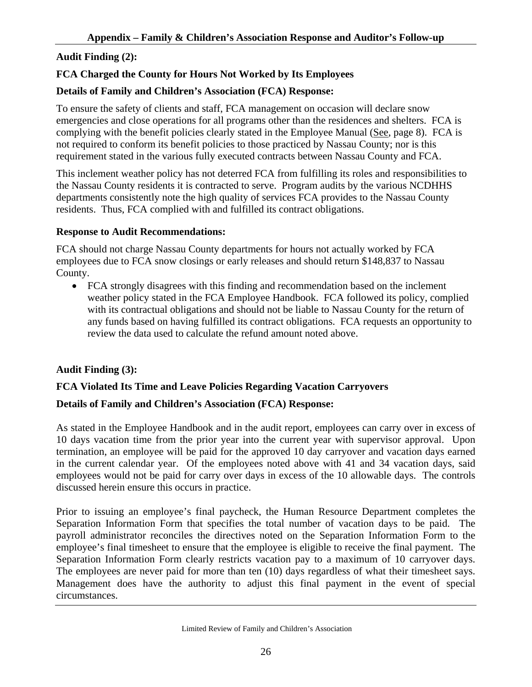# **Audit Finding (2):**

# **FCA Charged the County for Hours Not Worked by Its Employees**

### **Details of Family and Children's Association (FCA) Response:**

To ensure the safety of clients and staff, FCA management on occasion will declare snow emergencies and close operations for all programs other than the residences and shelters. FCA is complying with the benefit policies clearly stated in the Employee Manual (See, page 8). FCA is not required to conform its benefit policies to those practiced by Nassau County; nor is this requirement stated in the various fully executed contracts between Nassau County and FCA.

This inclement weather policy has not deterred FCA from fulfilling its roles and responsibilities to the Nassau County residents it is contracted to serve. Program audits by the various NCDHHS departments consistently note the high quality of services FCA provides to the Nassau County residents. Thus, FCA complied with and fulfilled its contract obligations.

#### **Response to Audit Recommendations:**

FCA should not charge Nassau County departments for hours not actually worked by FCA employees due to FCA snow closings or early releases and should return \$148,837 to Nassau County.

• FCA strongly disagrees with this finding and recommendation based on the inclement weather policy stated in the FCA Employee Handbook. FCA followed its policy, complied with its contractual obligations and should not be liable to Nassau County for the return of any funds based on having fulfilled its contract obligations. FCA requests an opportunity to review the data used to calculate the refund amount noted above.

#### **Audit Finding (3):**

# **FCA Violated Its Time and Leave Policies Regarding Vacation Carryovers**

#### **Details of Family and Children's Association (FCA) Response:**

As stated in the Employee Handbook and in the audit report, employees can carry over in excess of 10 days vacation time from the prior year into the current year with supervisor approval. Upon termination, an employee will be paid for the approved 10 day carryover and vacation days earned in the current calendar year. Of the employees noted above with 41 and 34 vacation days, said employees would not be paid for carry over days in excess of the 10 allowable days. The controls discussed herein ensure this occurs in practice.

Prior to issuing an employee's final paycheck, the Human Resource Department completes the Separation Information Form that specifies the total number of vacation days to be paid. The payroll administrator reconciles the directives noted on the Separation Information Form to the employee's final timesheet to ensure that the employee is eligible to receive the final payment. The Separation Information Form clearly restricts vacation pay to a maximum of 10 carryover days. The employees are never paid for more than ten (10) days regardless of what their timesheet says. Management does have the authority to adjust this final payment in the event of special circumstances.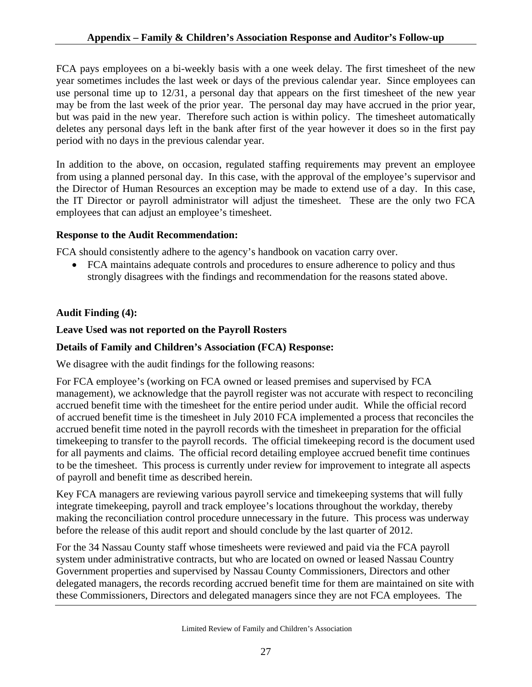FCA pays employees on a bi-weekly basis with a one week delay. The first timesheet of the new year sometimes includes the last week or days of the previous calendar year. Since employees can use personal time up to 12/31, a personal day that appears on the first timesheet of the new year may be from the last week of the prior year. The personal day may have accrued in the prior year, but was paid in the new year. Therefore such action is within policy. The timesheet automatically deletes any personal days left in the bank after first of the year however it does so in the first pay period with no days in the previous calendar year.

In addition to the above, on occasion, regulated staffing requirements may prevent an employee from using a planned personal day. In this case, with the approval of the employee's supervisor and the Director of Human Resources an exception may be made to extend use of a day. In this case, the IT Director or payroll administrator will adjust the timesheet. These are the only two FCA employees that can adjust an employee's timesheet.

#### **Response to the Audit Recommendation:**

FCA should consistently adhere to the agency's handbook on vacation carry over.

• FCA maintains adequate controls and procedures to ensure adherence to policy and thus strongly disagrees with the findings and recommendation for the reasons stated above.

#### **Audit Finding (4):**

#### **Leave Used was not reported on the Payroll Rosters**

#### **Details of Family and Children's Association (FCA) Response:**

We disagree with the audit findings for the following reasons:

For FCA employee's (working on FCA owned or leased premises and supervised by FCA management), we acknowledge that the payroll register was not accurate with respect to reconciling accrued benefit time with the timesheet for the entire period under audit. While the official record of accrued benefit time is the timesheet in July 2010 FCA implemented a process that reconciles the accrued benefit time noted in the payroll records with the timesheet in preparation for the official timekeeping to transfer to the payroll records. The official timekeeping record is the document used for all payments and claims. The official record detailing employee accrued benefit time continues to be the timesheet. This process is currently under review for improvement to integrate all aspects of payroll and benefit time as described herein.

Key FCA managers are reviewing various payroll service and timekeeping systems that will fully integrate timekeeping, payroll and track employee's locations throughout the workday, thereby making the reconciliation control procedure unnecessary in the future. This process was underway before the release of this audit report and should conclude by the last quarter of 2012.

For the 34 Nassau County staff whose timesheets were reviewed and paid via the FCA payroll system under administrative contracts, but who are located on owned or leased Nassau Country Government properties and supervised by Nassau County Commissioners, Directors and other delegated managers, the records recording accrued benefit time for them are maintained on site with these Commissioners, Directors and delegated managers since they are not FCA employees. The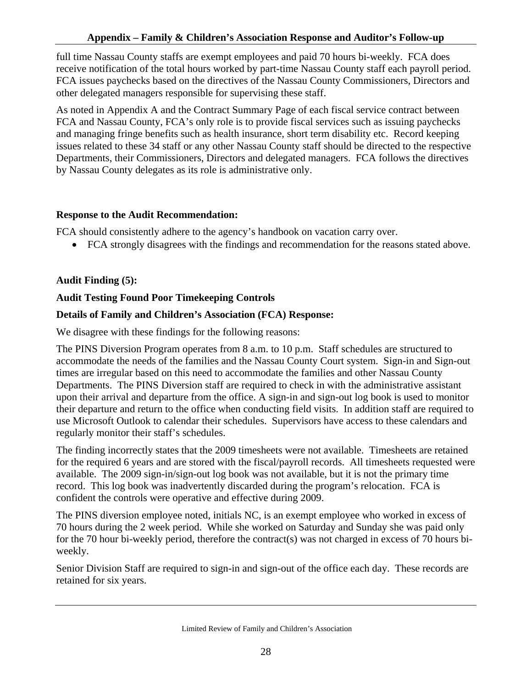full time Nassau County staffs are exempt employees and paid 70 hours bi-weekly. FCA does receive notification of the total hours worked by part-time Nassau County staff each payroll period. FCA issues paychecks based on the directives of the Nassau County Commissioners, Directors and other delegated managers responsible for supervising these staff.

As noted in Appendix A and the Contract Summary Page of each fiscal service contract between FCA and Nassau County, FCA's only role is to provide fiscal services such as issuing paychecks and managing fringe benefits such as health insurance, short term disability etc. Record keeping issues related to these 34 staff or any other Nassau County staff should be directed to the respective Departments, their Commissioners, Directors and delegated managers. FCA follows the directives by Nassau County delegates as its role is administrative only.

# **Response to the Audit Recommendation:**

FCA should consistently adhere to the agency's handbook on vacation carry over.

• FCA strongly disagrees with the findings and recommendation for the reasons stated above.

# **Audit Finding (5):**

# **Audit Testing Found Poor Timekeeping Controls**

# **Details of Family and Children's Association (FCA) Response:**

We disagree with these findings for the following reasons:

The PINS Diversion Program operates from 8 a.m. to 10 p.m. Staff schedules are structured to accommodate the needs of the families and the Nassau County Court system. Sign-in and Sign-out times are irregular based on this need to accommodate the families and other Nassau County Departments. The PINS Diversion staff are required to check in with the administrative assistant upon their arrival and departure from the office. A sign-in and sign-out log book is used to monitor their departure and return to the office when conducting field visits. In addition staff are required to use Microsoft Outlook to calendar their schedules. Supervisors have access to these calendars and regularly monitor their staff's schedules.

The finding incorrectly states that the 2009 timesheets were not available. Timesheets are retained for the required 6 years and are stored with the fiscal/payroll records. All timesheets requested were available. The 2009 sign-in/sign-out log book was not available, but it is not the primary time record. This log book was inadvertently discarded during the program's relocation. FCA is confident the controls were operative and effective during 2009.

The PINS diversion employee noted, initials NC, is an exempt employee who worked in excess of 70 hours during the 2 week period. While she worked on Saturday and Sunday she was paid only for the 70 hour bi-weekly period, therefore the contract(s) was not charged in excess of 70 hours biweekly.

Senior Division Staff are required to sign-in and sign-out of the office each day. These records are retained for six years.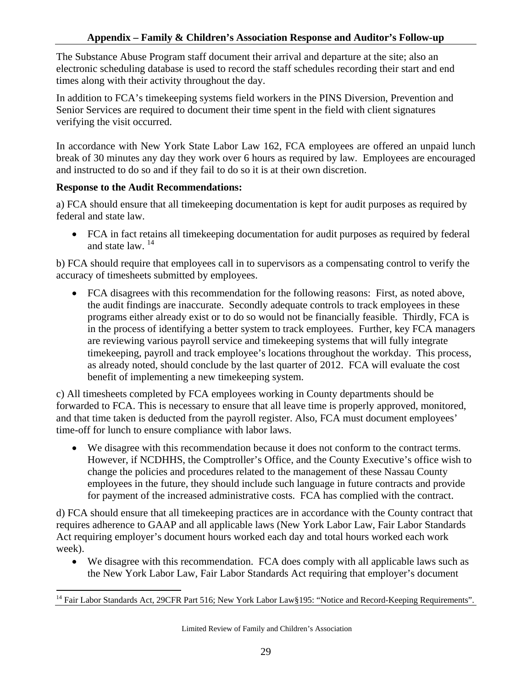The Substance Abuse Program staff document their arrival and departure at the site; also an electronic scheduling database is used to record the staff schedules recording their start and end times along with their activity throughout the day.

In addition to FCA's timekeeping systems field workers in the PINS Diversion, Prevention and Senior Services are required to document their time spent in the field with client signatures verifying the visit occurred.

In accordance with New York State Labor Law 162, FCA employees are offered an unpaid lunch break of 30 minutes any day they work over 6 hours as required by law. Employees are encouraged and instructed to do so and if they fail to do so it is at their own discretion.

#### **Response to the Audit Recommendations:**

a) FCA should ensure that all timekeeping documentation is kept for audit purposes as required by federal and state law.

• FCA in fact retains all timekeeping documentation for audit purposes as required by federal and state law. 14

b) FCA should require that employees call in to supervisors as a compensating control to verify the accuracy of timesheets submitted by employees.

• FCA disagrees with this recommendation for the following reasons: First, as noted above, the audit findings are inaccurate. Secondly adequate controls to track employees in these programs either already exist or to do so would not be financially feasible. Thirdly, FCA is in the process of identifying a better system to track employees. Further, key FCA managers are reviewing various payroll service and timekeeping systems that will fully integrate timekeeping, payroll and track employee's locations throughout the workday. This process, as already noted, should conclude by the last quarter of 2012. FCA will evaluate the cost benefit of implementing a new timekeeping system.

c) All timesheets completed by FCA employees working in County departments should be forwarded to FCA. This is necessary to ensure that all leave time is properly approved, monitored, and that time taken is deducted from the payroll register. Also, FCA must document employees' time-off for lunch to ensure compliance with labor laws.

• We disagree with this recommendation because it does not conform to the contract terms. However, if NCDHHS, the Comptroller's Office, and the County Executive's office wish to change the policies and procedures related to the management of these Nassau County employees in the future, they should include such language in future contracts and provide for payment of the increased administrative costs. FCA has complied with the contract.

d) FCA should ensure that all timekeeping practices are in accordance with the County contract that requires adherence to GAAP and all applicable laws (New York Labor Law, Fair Labor Standards Act requiring employer's document hours worked each day and total hours worked each work week).

• We disagree with this recommendation. FCA does comply with all applicable laws such as the New York Labor Law, Fair Labor Standards Act requiring that employer's document

 $\overline{a}$ <sup>14</sup> Fair Labor Standards Act, 29CFR Part 516; New York Labor Law§195: "Notice and Record-Keeping Requirements".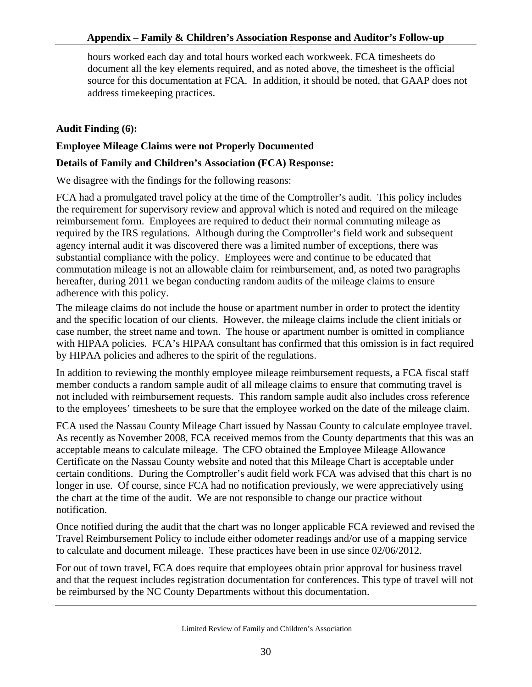hours worked each day and total hours worked each workweek. FCA timesheets do document all the key elements required, and as noted above, the timesheet is the official source for this documentation at FCA. In addition, it should be noted, that GAAP does not address timekeeping practices.

# **Audit Finding (6):**

### **Employee Mileage Claims were not Properly Documented**

#### **Details of Family and Children's Association (FCA) Response:**

We disagree with the findings for the following reasons:

FCA had a promulgated travel policy at the time of the Comptroller's audit. This policy includes the requirement for supervisory review and approval which is noted and required on the mileage reimbursement form. Employees are required to deduct their normal commuting mileage as required by the IRS regulations. Although during the Comptroller's field work and subsequent agency internal audit it was discovered there was a limited number of exceptions, there was substantial compliance with the policy. Employees were and continue to be educated that commutation mileage is not an allowable claim for reimbursement, and, as noted two paragraphs hereafter, during 2011 we began conducting random audits of the mileage claims to ensure adherence with this policy.

The mileage claims do not include the house or apartment number in order to protect the identity and the specific location of our clients. However, the mileage claims include the client initials or case number, the street name and town. The house or apartment number is omitted in compliance with HIPAA policies. FCA's HIPAA consultant has confirmed that this omission is in fact required by HIPAA policies and adheres to the spirit of the regulations.

In addition to reviewing the monthly employee mileage reimbursement requests, a FCA fiscal staff member conducts a random sample audit of all mileage claims to ensure that commuting travel is not included with reimbursement requests. This random sample audit also includes cross reference to the employees' timesheets to be sure that the employee worked on the date of the mileage claim.

FCA used the Nassau County Mileage Chart issued by Nassau County to calculate employee travel. As recently as November 2008, FCA received memos from the County departments that this was an acceptable means to calculate mileage. The CFO obtained the Employee Mileage Allowance Certificate on the Nassau County website and noted that this Mileage Chart is acceptable under certain conditions. During the Comptroller's audit field work FCA was advised that this chart is no longer in use. Of course, since FCA had no notification previously, we were appreciatively using the chart at the time of the audit. We are not responsible to change our practice without notification.

Once notified during the audit that the chart was no longer applicable FCA reviewed and revised the Travel Reimbursement Policy to include either odometer readings and/or use of a mapping service to calculate and document mileage. These practices have been in use since 02/06/2012.

For out of town travel, FCA does require that employees obtain prior approval for business travel and that the request includes registration documentation for conferences. This type of travel will not be reimbursed by the NC County Departments without this documentation.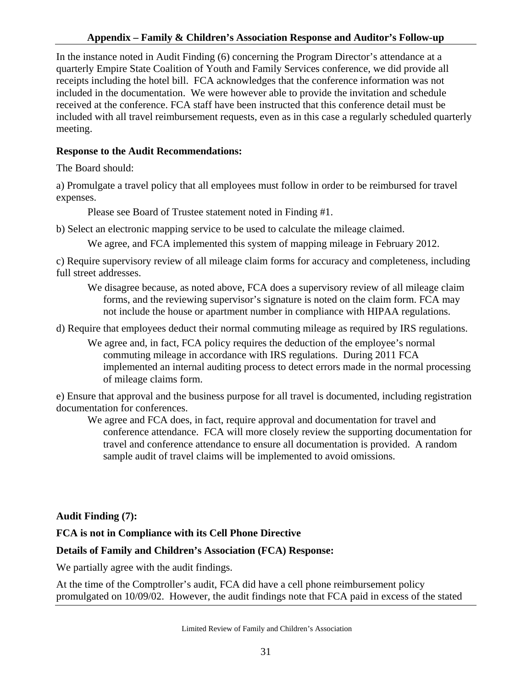#### **Appendix – Family & Children's Association Response and Auditor's Follow-up**

In the instance noted in Audit Finding (6) concerning the Program Director's attendance at a quarterly Empire State Coalition of Youth and Family Services conference, we did provide all receipts including the hotel bill. FCA acknowledges that the conference information was not included in the documentation. We were however able to provide the invitation and schedule received at the conference. FCA staff have been instructed that this conference detail must be included with all travel reimbursement requests, even as in this case a regularly scheduled quarterly meeting.

# **Response to the Audit Recommendations:**

The Board should:

a) Promulgate a travel policy that all employees must follow in order to be reimbursed for travel expenses.

Please see Board of Trustee statement noted in Finding #1.

b) Select an electronic mapping service to be used to calculate the mileage claimed.

We agree, and FCA implemented this system of mapping mileage in February 2012.

c) Require supervisory review of all mileage claim forms for accuracy and completeness, including full street addresses.

We disagree because, as noted above, FCA does a supervisory review of all mileage claim forms, and the reviewing supervisor's signature is noted on the claim form. FCA may not include the house or apartment number in compliance with HIPAA regulations.

d) Require that employees deduct their normal commuting mileage as required by IRS regulations.

We agree and, in fact, FCA policy requires the deduction of the employee's normal commuting mileage in accordance with IRS regulations. During 2011 FCA implemented an internal auditing process to detect errors made in the normal processing of mileage claims form.

e) Ensure that approval and the business purpose for all travel is documented, including registration documentation for conferences.

We agree and FCA does, in fact, require approval and documentation for travel and conference attendance. FCA will more closely review the supporting documentation for travel and conference attendance to ensure all documentation is provided. A random sample audit of travel claims will be implemented to avoid omissions.

# **Audit Finding (7):**

# **FCA is not in Compliance with its Cell Phone Directive**

#### **Details of Family and Children's Association (FCA) Response:**

We partially agree with the audit findings.

At the time of the Comptroller's audit, FCA did have a cell phone reimbursement policy promulgated on 10/09/02. However, the audit findings note that FCA paid in excess of the stated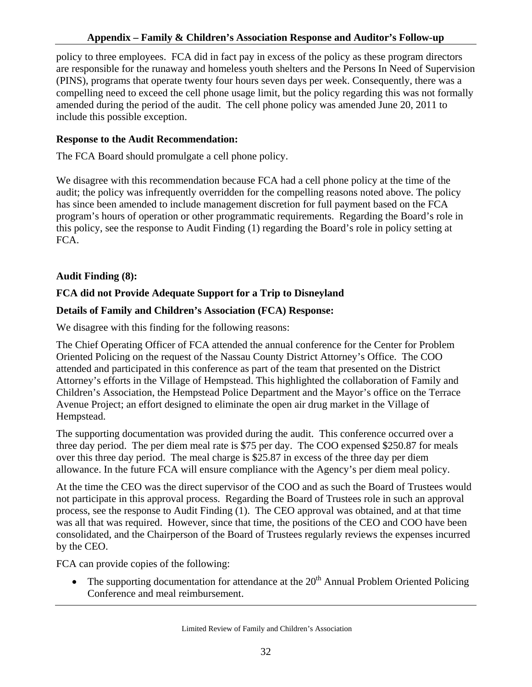### **Appendix – Family & Children's Association Response and Auditor's Follow-up**

policy to three employees. FCA did in fact pay in excess of the policy as these program directors are responsible for the runaway and homeless youth shelters and the Persons In Need of Supervision (PINS), programs that operate twenty four hours seven days per week. Consequently, there was a compelling need to exceed the cell phone usage limit, but the policy regarding this was not formally amended during the period of the audit. The cell phone policy was amended June 20, 2011 to include this possible exception.

#### **Response to the Audit Recommendation:**

The FCA Board should promulgate a cell phone policy.

 We disagree with this recommendation because FCA had a cell phone policy at the time of the audit; the policy was infrequently overridden for the compelling reasons noted above. The policy has since been amended to include management discretion for full payment based on the FCA program's hours of operation or other programmatic requirements. Regarding the Board's role in this policy, see the response to Audit Finding (1) regarding the Board's role in policy setting at FCA.

# **Audit Finding (8):**

# **FCA did not Provide Adequate Support for a Trip to Disneyland**

# **Details of Family and Children's Association (FCA) Response:**

We disagree with this finding for the following reasons:

The Chief Operating Officer of FCA attended the annual conference for the Center for Problem Oriented Policing on the request of the Nassau County District Attorney's Office. The COO attended and participated in this conference as part of the team that presented on the District Attorney's efforts in the Village of Hempstead. This highlighted the collaboration of Family and Children's Association, the Hempstead Police Department and the Mayor's office on the Terrace Avenue Project; an effort designed to eliminate the open air drug market in the Village of Hempstead.

The supporting documentation was provided during the audit. This conference occurred over a three day period. The per diem meal rate is \$75 per day. The COO expensed \$250.87 for meals over this three day period. The meal charge is \$25.87 in excess of the three day per diem allowance. In the future FCA will ensure compliance with the Agency's per diem meal policy.

At the time the CEO was the direct supervisor of the COO and as such the Board of Trustees would not participate in this approval process. Regarding the Board of Trustees role in such an approval process, see the response to Audit Finding (1). The CEO approval was obtained, and at that time was all that was required. However, since that time, the positions of the CEO and COO have been consolidated, and the Chairperson of the Board of Trustees regularly reviews the expenses incurred by the CEO.

FCA can provide copies of the following:

• The supporting documentation for attendance at the  $20<sup>th</sup>$  Annual Problem Oriented Policing Conference and meal reimbursement.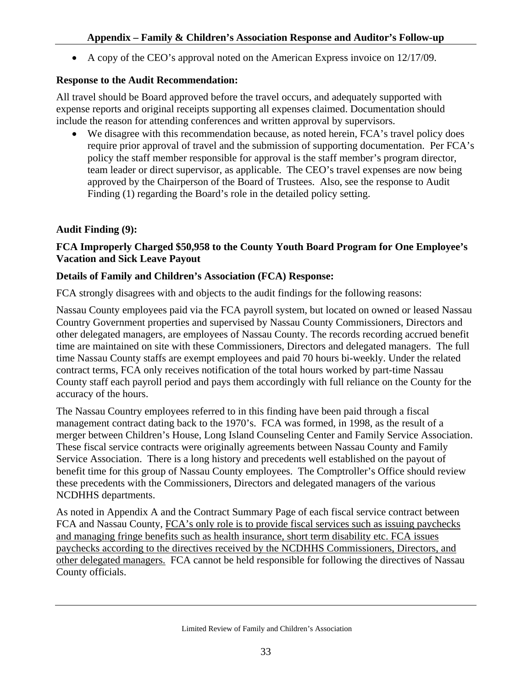• A copy of the CEO's approval noted on the American Express invoice on 12/17/09.

# **Response to the Audit Recommendation:**

All travel should be Board approved before the travel occurs, and adequately supported with expense reports and original receipts supporting all expenses claimed. Documentation should include the reason for attending conferences and written approval by supervisors.

• We disagree with this recommendation because, as noted herein, FCA's travel policy does require prior approval of travel and the submission of supporting documentation. Per FCA's policy the staff member responsible for approval is the staff member's program director, team leader or direct supervisor, as applicable. The CEO's travel expenses are now being approved by the Chairperson of the Board of Trustees. Also, see the response to Audit Finding (1) regarding the Board's role in the detailed policy setting.

# **Audit Finding (9):**

# **FCA Improperly Charged \$50,958 to the County Youth Board Program for One Employee's Vacation and Sick Leave Payout**

#### **Details of Family and Children's Association (FCA) Response:**

FCA strongly disagrees with and objects to the audit findings for the following reasons:

Nassau County employees paid via the FCA payroll system, but located on owned or leased Nassau Country Government properties and supervised by Nassau County Commissioners, Directors and other delegated managers, are employees of Nassau County. The records recording accrued benefit time are maintained on site with these Commissioners, Directors and delegated managers. The full time Nassau County staffs are exempt employees and paid 70 hours bi-weekly. Under the related contract terms, FCA only receives notification of the total hours worked by part-time Nassau County staff each payroll period and pays them accordingly with full reliance on the County for the accuracy of the hours.

The Nassau Country employees referred to in this finding have been paid through a fiscal management contract dating back to the 1970's. FCA was formed, in 1998, as the result of a merger between Children's House, Long Island Counseling Center and Family Service Association. These fiscal service contracts were originally agreements between Nassau County and Family Service Association. There is a long history and precedents well established on the payout of benefit time for this group of Nassau County employees. The Comptroller's Office should review these precedents with the Commissioners, Directors and delegated managers of the various NCDHHS departments.

As noted in Appendix A and the Contract Summary Page of each fiscal service contract between FCA and Nassau County, FCA's only role is to provide fiscal services such as issuing paychecks and managing fringe benefits such as health insurance, short term disability etc. FCA issues paychecks according to the directives received by the NCDHHS Commissioners, Directors, and other delegated managers. FCA cannot be held responsible for following the directives of Nassau County officials.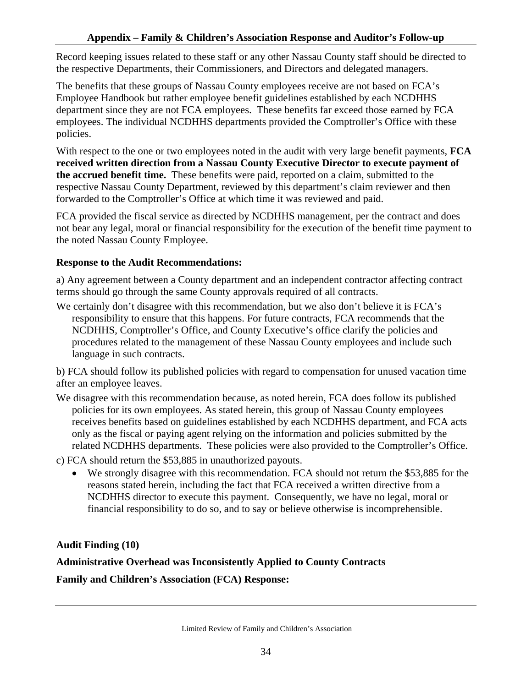Record keeping issues related to these staff or any other Nassau County staff should be directed to the respective Departments, their Commissioners, and Directors and delegated managers.

The benefits that these groups of Nassau County employees receive are not based on FCA's Employee Handbook but rather employee benefit guidelines established by each NCDHHS department since they are not FCA employees. These benefits far exceed those earned by FCA employees. The individual NCDHHS departments provided the Comptroller's Office with these policies.

With respect to the one or two employees noted in the audit with very large benefit payments, **FCA received written direction from a Nassau County Executive Director to execute payment of the accrued benefit time.** These benefits were paid, reported on a claim, submitted to the respective Nassau County Department, reviewed by this department's claim reviewer and then forwarded to the Comptroller's Office at which time it was reviewed and paid.

FCA provided the fiscal service as directed by NCDHHS management, per the contract and does not bear any legal, moral or financial responsibility for the execution of the benefit time payment to the noted Nassau County Employee.

#### **Response to the Audit Recommendations:**

a) Any agreement between a County department and an independent contractor affecting contract terms should go through the same County approvals required of all contracts.

We certainly don't disagree with this recommendation, but we also don't believe it is FCA's responsibility to ensure that this happens. For future contracts, FCA recommends that the NCDHHS, Comptroller's Office, and County Executive's office clarify the policies and procedures related to the management of these Nassau County employees and include such language in such contracts.

b) FCA should follow its published policies with regard to compensation for unused vacation time after an employee leaves.

- We disagree with this recommendation because, as noted herein, FCA does follow its published policies for its own employees. As stated herein, this group of Nassau County employees receives benefits based on guidelines established by each NCDHHS department, and FCA acts only as the fiscal or paying agent relying on the information and policies submitted by the related NCDHHS departments. These policies were also provided to the Comptroller's Office.
- c) FCA should return the \$53,885 in unauthorized payouts.
	- We strongly disagree with this recommendation. FCA should not return the \$53,885 for the reasons stated herein, including the fact that FCA received a written directive from a NCDHHS director to execute this payment. Consequently, we have no legal, moral or financial responsibility to do so, and to say or believe otherwise is incomprehensible.

**Audit Finding (10)** 

# **Administrative Overhead was Inconsistently Applied to County Contracts**

**Family and Children's Association (FCA) Response:**